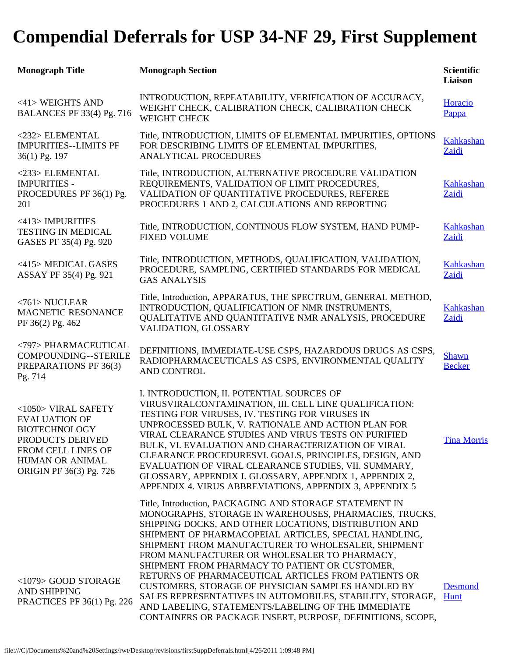## **Compendial Deferrals for USP 34-NF 29, First Supplement**

| <b>Monograph Title</b>                                                                                                                                             | <b>Monograph Section</b>                                                                                                                                                                                                                                                                                                                                                                                                                                                                                                                                                                                                                                                                  | <b>Scientific</b><br>Liaison  |
|--------------------------------------------------------------------------------------------------------------------------------------------------------------------|-------------------------------------------------------------------------------------------------------------------------------------------------------------------------------------------------------------------------------------------------------------------------------------------------------------------------------------------------------------------------------------------------------------------------------------------------------------------------------------------------------------------------------------------------------------------------------------------------------------------------------------------------------------------------------------------|-------------------------------|
| <41> WEIGHTS AND<br><b>BALANCES PF 33(4) Pg. 716</b>                                                                                                               | INTRODUCTION, REPEATABILITY, VERIFICATION OF ACCURACY,<br>WEIGHT CHECK, CALIBRATION CHECK, CALIBRATION CHECK<br><b>WEIGHT CHECK</b>                                                                                                                                                                                                                                                                                                                                                                                                                                                                                                                                                       | Horacio<br>Pappa              |
| <232> ELEMENTAL<br><b>IMPURITIES--LIMITS PF</b><br>36(1) Pg. 197                                                                                                   | Title, INTRODUCTION, LIMITS OF ELEMENTAL IMPURITIES, OPTIONS<br>FOR DESCRIBING LIMITS OF ELEMENTAL IMPURITIES,<br>ANALYTICAL PROCEDURES                                                                                                                                                                                                                                                                                                                                                                                                                                                                                                                                                   | <b>Kahkashan</b><br>Zaidi     |
| <233> ELEMENTAL<br><b>IMPURITIES -</b><br>PROCEDURES PF 36(1) Pg.<br>201                                                                                           | Title, INTRODUCTION, ALTERNATIVE PROCEDURE VALIDATION<br>REQUIREMENTS, VALIDATION OF LIMIT PROCEDURES,<br>VALIDATION OF QUANTITATIVE PROCEDURES, REFEREE<br>PROCEDURES 1 AND 2, CALCULATIONS AND REPORTING                                                                                                                                                                                                                                                                                                                                                                                                                                                                                | Kahkashan<br>Zaidi            |
| <413> IMPURITIES<br><b>TESTING IN MEDICAL</b><br>GASES PF 35(4) Pg. 920                                                                                            | Title, INTRODUCTION, CONTINOUS FLOW SYSTEM, HAND PUMP-<br><b>FIXED VOLUME</b>                                                                                                                                                                                                                                                                                                                                                                                                                                                                                                                                                                                                             | Kahkashan<br>Zaidi            |
| <415> MEDICAL GASES<br>ASSAY PF 35(4) Pg. 921                                                                                                                      | Title, INTRODUCTION, METHODS, QUALIFICATION, VALIDATION,<br>PROCEDURE, SAMPLING, CERTIFIED STANDARDS FOR MEDICAL<br><b>GAS ANALYSIS</b>                                                                                                                                                                                                                                                                                                                                                                                                                                                                                                                                                   | <b>Kahkashan</b><br>Zaidi     |
| $<$ 761> NUCLEAR<br>MAGNETIC RESONANCE<br>PF 36(2) Pg. 462                                                                                                         | Title, Introduction, APPARATUS, THE SPECTRUM, GENERAL METHOD,<br>INTRODUCTION, QUALIFICATION OF NMR INSTRUMENTS,<br>QUALITATIVE AND QUANTITATIVE NMR ANALYSIS, PROCEDURE<br>VALIDATION, GLOSSARY                                                                                                                                                                                                                                                                                                                                                                                                                                                                                          | Kahkashan<br>Zaidi            |
| <797> PHARMACEUTICAL<br>COMPOUNDING--STERILE<br>PREPARATIONS PF 36(3)<br>Pg. 714                                                                                   | DEFINITIONS, IMMEDIATE-USE CSPS, HAZARDOUS DRUGS AS CSPS,<br>RADIOPHARMACEUTICALS AS CSPS, ENVIRONMENTAL QUALITY<br>AND CONTROL                                                                                                                                                                                                                                                                                                                                                                                                                                                                                                                                                           | <b>Shawn</b><br><b>Becker</b> |
| <1050> VIRAL SAFETY<br><b>EVALUATION OF</b><br><b>BIOTECHNOLOGY</b><br>PRODUCTS DERIVED<br>FROM CELL LINES OF<br><b>HUMAN OR ANIMAL</b><br>ORIGIN PF 36(3) Pg. 726 | I. INTRODUCTION, II. POTENTIAL SOURCES OF<br>VIRUSVIRALCONTAMINATION, III. CELL LINE QUALIFICATION:<br>TESTING FOR VIRUSES, IV. TESTING FOR VIRUSES IN<br>UNPROCESSED BULK, V. RATIONALE AND ACTION PLAN FOR<br>VIRAL CLEARANCE STUDIES AND VIRUS TESTS ON PURIFIED<br>BULK, VI. EVALUATION AND CHARACTERIZATION OF VIRAL<br>CLEARANCE PROCEDURESVI. GOALS, PRINCIPLES, DESIGN, AND<br>EVALUATION OF VIRAL CLEARANCE STUDIES, VII. SUMMARY,<br>GLOSSARY, APPENDIX I. GLOSSARY, APPENDIX 1, APPENDIX 2,<br>APPENDIX 4. VIRUS ABBREVIATIONS, APPENDIX 3, APPENDIX 5                                                                                                                         | <b>Tina Morris</b>            |
| <1079> GOOD STORAGE<br><b>AND SHIPPING</b><br>PRACTICES PF 36(1) Pg. 226                                                                                           | Title, Introduction, PACKAGING AND STORAGE STATEMENT IN<br>MONOGRAPHS, STORAGE IN WAREHOUSES, PHARMACIES, TRUCKS,<br>SHIPPING DOCKS, AND OTHER LOCATIONS, DISTRIBUTION AND<br>SHIPMENT OF PHARMACOPEIAL ARTICLES, SPECIAL HANDLING,<br>SHIPMENT FROM MANUFACTURER TO WHOLESALER, SHIPMENT<br>FROM MANUFACTURER OR WHOLESALER TO PHARMACY,<br>SHIPMENT FROM PHARMACY TO PATIENT OR CUSTOMER,<br>RETURNS OF PHARMACEUTICAL ARTICLES FROM PATIENTS OR<br>CUSTOMERS, STORAGE OF PHYSICIAN SAMPLES HANDLED BY<br>SALES REPRESENTATIVES IN AUTOMOBILES, STABILITY, STORAGE,<br>AND LABELING, STATEMENTS/LABELING OF THE IMMEDIATE<br>CONTAINERS OR PACKAGE INSERT, PURPOSE, DEFINITIONS, SCOPE, | <b>Desmond</b><br><b>Hunt</b> |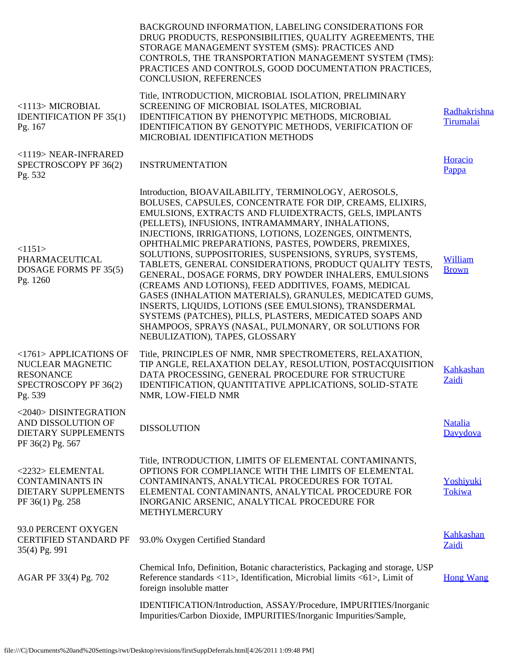|                                                                                                    | BACKGROUND INFORMATION, LABELING CONSIDERATIONS FOR<br>DRUG PRODUCTS, RESPONSIBILITIES, QUALITY AGREEMENTS, THE<br>STORAGE MANAGEMENT SYSTEM (SMS): PRACTICES AND<br>CONTROLS, THE TRANSPORTATION MANAGEMENT SYSTEM (TMS):<br>PRACTICES AND CONTROLS, GOOD DOCUMENTATION PRACTICES,<br>CONCLUSION, REFERENCES                                                                                                                                                                                                                                                                                                                                                                                                                                                                                                                                                    |                            |
|----------------------------------------------------------------------------------------------------|------------------------------------------------------------------------------------------------------------------------------------------------------------------------------------------------------------------------------------------------------------------------------------------------------------------------------------------------------------------------------------------------------------------------------------------------------------------------------------------------------------------------------------------------------------------------------------------------------------------------------------------------------------------------------------------------------------------------------------------------------------------------------------------------------------------------------------------------------------------|----------------------------|
| <1113> MICROBIAL<br><b>IDENTIFICATION PF 35(1)</b><br>Pg. 167                                      | Title, INTRODUCTION, MICROBIAL ISOLATION, PRELIMINARY<br>SCREENING OF MICROBIAL ISOLATES, MICROBIAL<br><b>IDENTIFICATION BY PHENOTYPIC METHODS, MICROBIAL</b><br>IDENTIFICATION BY GENOTYPIC METHODS, VERIFICATION OF<br>MICROBIAL IDENTIFICATION METHODS                                                                                                                                                                                                                                                                                                                                                                                                                                                                                                                                                                                                        | Radhakrishna<br>Tirumalai  |
| <1119> NEAR-INFRARED<br>SPECTROSCOPY PF 36(2)<br>Pg. 532                                           | <b>INSTRUMENTATION</b>                                                                                                                                                                                                                                                                                                                                                                                                                                                                                                                                                                                                                                                                                                                                                                                                                                           | Horacio<br>Pappa           |
| <1151><br>PHARMACEUTICAL<br>DOSAGE FORMS PF 35(5)<br>Pg. 1260                                      | Introduction, BIOAVAILABILITY, TERMINOLOGY, AEROSOLS,<br>BOLUSES, CAPSULES, CONCENTRATE FOR DIP, CREAMS, ELIXIRS,<br>EMULSIONS, EXTRACTS AND FLUIDEXTRACTS, GELS, IMPLANTS<br>(PELLETS), INFUSIONS, INTRAMAMMARY, INHALATIONS,<br>INJECTIONS, IRRIGATIONS, LOTIONS, LOZENGES, OINTMENTS,<br>OPHTHALMIC PREPARATIONS, PASTES, POWDERS, PREMIXES,<br>SOLUTIONS, SUPPOSITORIES, SUSPENSIONS, SYRUPS, SYSTEMS,<br>TABLETS, GENERAL CONSIDERATIONS, PRODUCT QUALITY TESTS,<br>GENERAL, DOSAGE FORMS, DRY POWDER INHALERS, EMULSIONS<br>(CREAMS AND LOTIONS), FEED ADDITIVES, FOAMS, MEDICAL<br>GASES (INHALATION MATERIALS), GRANULES, MEDICATED GUMS,<br>INSERTS, LIQUIDS, LOTIONS (SEE EMULSIONS), TRANSDERMAL<br>SYSTEMS (PATCHES), PILLS, PLASTERS, MEDICATED SOAPS AND<br>SHAMPOOS, SPRAYS (NASAL, PULMONARY, OR SOLUTIONS FOR<br>NEBULIZATION), TAPES, GLOSSARY | William<br><b>Brown</b>    |
| <1761> APPLICATIONS OF<br>NUCLEAR MAGNETIC<br><b>RESONANCE</b><br>SPECTROSCOPY PF 36(2)<br>Pg. 539 | Title, PRINCIPLES OF NMR, NMR SPECTROMETERS, RELAXATION,<br>TIP ANGLE, RELAXATION DELAY, RESOLUTION, POSTACOUISITION<br>DATA PROCESSING, GENERAL PROCEDURE FOR STRUCTURE<br>IDENTIFICATION, QUANTITATIVE APPLICATIONS, SOLID-STATE<br>NMR, LOW-FIELD NMR                                                                                                                                                                                                                                                                                                                                                                                                                                                                                                                                                                                                         | Kahkashan<br>Zaidi         |
| <2040> DISINTEGRATION<br>AND DISSOLUTION OF<br>DIETARY SUPPLEMENTS<br>PF 36(2) Pg. 567             | <b>DISSOLUTION</b>                                                                                                                                                                                                                                                                                                                                                                                                                                                                                                                                                                                                                                                                                                                                                                                                                                               | <b>Natalia</b><br>Davydova |
| <2232> ELEMENTAL<br><b>CONTAMINANTS IN</b><br>DIETARY SUPPLEMENTS<br>PF 36(1) Pg. 258              | Title, INTRODUCTION, LIMITS OF ELEMENTAL CONTAMINANTS,<br>OPTIONS FOR COMPLIANCE WITH THE LIMITS OF ELEMENTAL<br>CONTAMINANTS, ANALYTICAL PROCEDURES FOR TOTAL<br>ELEMENTAL CONTAMINANTS, ANALYTICAL PROCEDURE FOR<br>INORGANIC ARSENIC, ANALYTICAL PROCEDURE FOR<br>METHYLMERCURY                                                                                                                                                                                                                                                                                                                                                                                                                                                                                                                                                                               | Yoshiyuki<br>Tokiwa        |
| 93.0 PERCENT OXYGEN<br><b>CERTIFIED STANDARD PF</b><br>35(4) Pg. 991                               | 93.0% Oxygen Certified Standard                                                                                                                                                                                                                                                                                                                                                                                                                                                                                                                                                                                                                                                                                                                                                                                                                                  | Kahkashan<br>Zaidi         |
| AGAR PF 33(4) Pg. 702                                                                              | Chemical Info, Definition, Botanic characteristics, Packaging and storage, USP<br>Reference standards <11>, Identification, Microbial limits <61>, Limit of<br>foreign insoluble matter                                                                                                                                                                                                                                                                                                                                                                                                                                                                                                                                                                                                                                                                          | <b>Hong Wang</b>           |
|                                                                                                    | IDENTIFICATION/Introduction, ASSAY/Procedure, IMPURITIES/Inorganic<br>Impurities/Carbon Dioxide, IMPURITIES/Inorganic Impurities/Sample,                                                                                                                                                                                                                                                                                                                                                                                                                                                                                                                                                                                                                                                                                                                         |                            |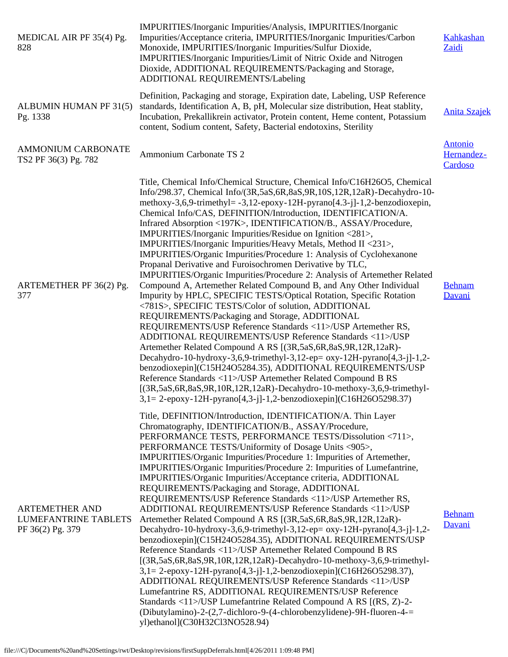| MEDICAL AIR PF 35(4) Pg.<br>828                                          | IMPURITIES/Inorganic Impurities/Analysis, IMPURITIES/Inorganic<br>Impurities/Acceptance criteria, IMPURITIES/Inorganic Impurities/Carbon<br>Monoxide, IMPURITIES/Inorganic Impurities/Sulfur Dioxide,<br>IMPURITIES/Inorganic Impurities/Limit of Nitric Oxide and Nitrogen<br>Dioxide, ADDITIONAL REQUIREMENTS/Packaging and Storage,<br>ADDITIONAL REQUIREMENTS/Labeling                                                                                                                                                                                                                                                                                                                                                                                                                                                                                                                                                                                                                                                                                                                                                                                                                                                                                                                                                                                                                                                                                                                                                                                              | Kahkashan<br>Zaidi                      |
|--------------------------------------------------------------------------|-------------------------------------------------------------------------------------------------------------------------------------------------------------------------------------------------------------------------------------------------------------------------------------------------------------------------------------------------------------------------------------------------------------------------------------------------------------------------------------------------------------------------------------------------------------------------------------------------------------------------------------------------------------------------------------------------------------------------------------------------------------------------------------------------------------------------------------------------------------------------------------------------------------------------------------------------------------------------------------------------------------------------------------------------------------------------------------------------------------------------------------------------------------------------------------------------------------------------------------------------------------------------------------------------------------------------------------------------------------------------------------------------------------------------------------------------------------------------------------------------------------------------------------------------------------------------|-----------------------------------------|
| ALBUMIN HUMAN PF 31(5)<br>Pg. 1338                                       | Definition, Packaging and storage, Expiration date, Labeling, USP Reference<br>standards, Identification A, B, pH, Molecular size distribution, Heat stablity,<br>Incubation, Prekallikrein activator, Protein content, Heme content, Potassium<br>content, Sodium content, Safety, Bacterial endotoxins, Sterility                                                                                                                                                                                                                                                                                                                                                                                                                                                                                                                                                                                                                                                                                                                                                                                                                                                                                                                                                                                                                                                                                                                                                                                                                                                     | <b>Anita Szajek</b>                     |
| <b>AMMONIUM CARBONATE</b><br>TS2 PF 36(3) Pg. 782                        | Ammonium Carbonate TS 2                                                                                                                                                                                                                                                                                                                                                                                                                                                                                                                                                                                                                                                                                                                                                                                                                                                                                                                                                                                                                                                                                                                                                                                                                                                                                                                                                                                                                                                                                                                                                 | <b>Antonio</b><br>Hernandez-<br>Cardoso |
| ARTEMETHER PF 36(2) Pg.<br>377                                           | Title, Chemical Info/Chemical Structure, Chemical Info/C16H26O5, Chemical<br>Info/298.37, Chemical Info/(3R,5aS,6R,8aS,9R,10S,12R,12aR)-Decahydro-10-<br>methoxy-3,6,9-trimethyl= $-3,12$ -epoxy-12H-pyrano $[4.3-j]$ -1,2-benzodioxepin,<br>Chemical Info/CAS, DEFINITION/Introduction, IDENTIFICATION/A.<br>Infrared Absorption <197K>, IDENTIFICATION/B., ASSAY/Procedure,<br>IMPURITIES/Inorganic Impurities/Residue on Ignition <281>,<br>IMPURITIES/Inorganic Impurities/Heavy Metals, Method II <231>,<br>IMPURITIES/Organic Impurities/Procedure 1: Analysis of Cyclohexanone<br>Propanal Derivative and Furoisochromen Derivative by TLC,<br>IMPURITIES/Organic Impurities/Procedure 2: Analysis of Artemether Related<br>Compound A, Artemether Related Compound B, and Any Other Individual<br>Impurity by HPLC, SPECIFIC TESTS/Optical Rotation, Specific Rotation<br><781S>, SPECIFIC TESTS/Color of solution, ADDITIONAL<br>REQUIREMENTS/Packaging and Storage, ADDITIONAL<br>REQUIREMENTS/USP Reference Standards <11>/USP Artemether RS,<br>ADDITIONAL REQUIREMENTS/USP Reference Standards <11>/USP<br>Artemether Related Compound A RS [(3R,5aS,6R,8aS,9R,12R,12aR)-<br>Decahydro-10-hydroxy-3,6,9-trimethyl-3,12-ep= $oxy-12H$ -pyrano $[4,3-j]-1,2-$<br>benzodioxepin](C15H24O5284.35), ADDITIONAL REQUIREMENTS/USP<br>Reference Standards <11>/USP Artemether Related Compound B RS<br>$[(3R, 5aS, 6R, 8aS, 9R, 10R, 12R, 12aR)$ -Decahydro-10-methoxy-3,6,9-trimethyl-<br>$3,1=2$ -epoxy-12H-pyrano $[4,3-i]$ -1,2-benzodioxepin](C16H26O5298.37) | <b>Behnam</b><br>Davani                 |
| <b>ARTEMETHER AND</b><br><b>LUMEFANTRINE TABLETS</b><br>PF 36(2) Pg. 379 | Title, DEFINITION/Introduction, IDENTIFICATION/A. Thin Layer<br>Chromatography, IDENTIFICATION/B., ASSAY/Procedure,<br>PERFORMANCE TESTS, PERFORMANCE TESTS/Dissolution <711>,<br>PERFORMANCE TESTS/Uniformity of Dosage Units <905>,<br>IMPURITIES/Organic Impurities/Procedure 1: Impurities of Artemether,<br>IMPURITIES/Organic Impurities/Procedure 2: Impurities of Lumefantrine,<br>IMPURITIES/Organic Impurities/Acceptance criteria, ADDITIONAL<br>REQUIREMENTS/Packaging and Storage, ADDITIONAL<br>REQUIREMENTS/USP Reference Standards <11>/USP Artemether RS,<br>ADDITIONAL REQUIREMENTS/USP Reference Standards <11>/USP<br>Artemether Related Compound A RS [(3R,5aS,6R,8aS,9R,12R,12aR)-<br>Decahydro-10-hydroxy-3,6,9-trimethyl-3,12-ep= $oxy-12H$ -pyrano $[4,3-j]-1,2-$<br>benzodioxepin](C15H24O5284.35), ADDITIONAL REQUIREMENTS/USP<br>Reference Standards <11>/USP Artemether Related Compound B RS<br>[(3R,5aS,6R,8aS,9R,10R,12R,12aR)-Decahydro-10-methoxy-3,6,9-trimethyl-<br>3,1=2-epoxy-12H-pyrano[4,3-j]-1,2-benzodioxepin](C16H26O5298.37),<br>ADDITIONAL REQUIREMENTS/USP Reference Standards <11>/USP<br>Lumefantrine RS, ADDITIONAL REQUIREMENTS/USP Reference<br>Standards <11>/USP Lumefantrine Related Compound A RS [(RS, Z)-2-<br>(Dibutylamino)-2-(2,7-dichloro-9-(4-chlorobenzylidene)-9H-fluoren-4-=<br>yl)ethanol](C30H32Cl3NO528.94)                                                                                                                                                                                         | <b>Behnam</b><br>Davani                 |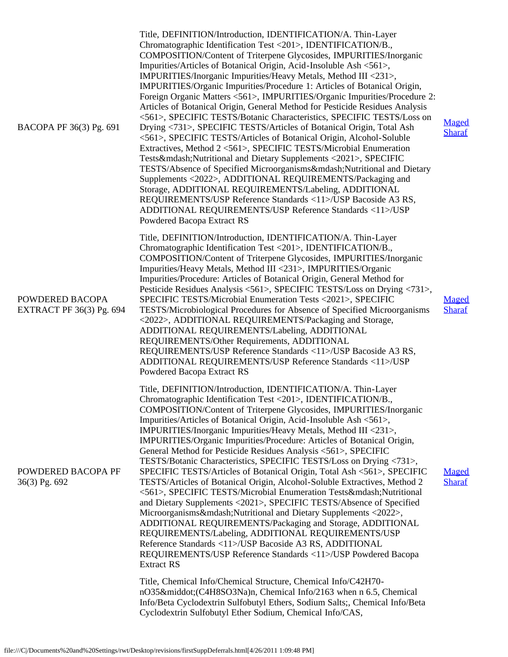| BACOPA PF 36(3) Pg. 691                            | Title, DEFINITION/Introduction, IDENTIFICATION/A. Thin-Layer<br>Chromatographic Identification Test <201>, IDENTIFICATION/B.,<br>COMPOSITION/Content of Triterpene Glycosides, IMPURITIES/Inorganic<br>Impurities/Articles of Botanical Origin, Acid-Insoluble Ash <561>,<br>IMPURITIES/Inorganic Impurities/Heavy Metals, Method III <231>,<br>IMPURITIES/Organic Impurities/Procedure 1: Articles of Botanical Origin,<br>Foreign Organic Matters <561>, IMPURITIES/Organic Impurities/Procedure 2:<br>Articles of Botanical Origin, General Method for Pesticide Residues Analysis<br><561>, SPECIFIC TESTS/Botanic Characteristics, SPECIFIC TESTS/Loss on<br>Drying <731>, SPECIFIC TESTS/Articles of Botanical Origin, Total Ash<br><561>, SPECIFIC TESTS/Articles of Botanical Origin, Alcohol-Soluble<br>Extractives, Method 2 <561>, SPECIFIC TESTS/Microbial Enumeration<br>Tests—Nutritional and Dietary Supplements <2021>, SPECIFIC<br>TESTS/Absence of Specified Microorganisms—Nutritional and Dietary<br>Supplements <2022>, ADDITIONAL REQUIREMENTS/Packaging and<br>Storage, ADDITIONAL REQUIREMENTS/Labeling, ADDITIONAL<br>REQUIREMENTS/USP Reference Standards <11>/USP Bacoside A3 RS,<br>ADDITIONAL REQUIREMENTS/USP Reference Standards <11>/USP<br>Powdered Bacopa Extract RS | Maged<br><b>Sharaf</b> |
|----------------------------------------------------|--------------------------------------------------------------------------------------------------------------------------------------------------------------------------------------------------------------------------------------------------------------------------------------------------------------------------------------------------------------------------------------------------------------------------------------------------------------------------------------------------------------------------------------------------------------------------------------------------------------------------------------------------------------------------------------------------------------------------------------------------------------------------------------------------------------------------------------------------------------------------------------------------------------------------------------------------------------------------------------------------------------------------------------------------------------------------------------------------------------------------------------------------------------------------------------------------------------------------------------------------------------------------------------------------------|------------------------|
| POWDERED BACOPA<br><b>EXTRACT PF 36(3) Pg. 694</b> | Title, DEFINITION/Introduction, IDENTIFICATION/A. Thin-Layer<br>Chromatographic Identification Test <201>, IDENTIFICATION/B.,<br>COMPOSITION/Content of Triterpene Glycosides, IMPURITIES/Inorganic<br>Impurities/Heavy Metals, Method III <231>, IMPURITIES/Organic<br>Impurities/Procedure: Articles of Botanical Origin, General Method for<br>Pesticide Residues Analysis <561>, SPECIFIC TESTS/Loss on Drying <731>,<br>SPECIFIC TESTS/Microbial Enumeration Tests <2021>, SPECIFIC<br>TESTS/Microbiological Procedures for Absence of Specified Microorganisms<br><2022>, ADDITIONAL REQUIREMENTS/Packaging and Storage,<br>ADDITIONAL REQUIREMENTS/Labeling, ADDITIONAL<br>REQUIREMENTS/Other Requirements, ADDITIONAL<br>REQUIREMENTS/USP Reference Standards <11>/USP Bacoside A3 RS,<br>ADDITIONAL REQUIREMENTS/USP Reference Standards <11>/USP<br>Powdered Bacopa Extract RS                                                                                                                                                                                                                                                                                                                                                                                                               | Maged<br><b>Sharaf</b> |
| POWDERED BACOPA PF<br>36(3) Pg. 692                | Title, DEFINITION/Introduction, IDENTIFICATION/A. Thin-Layer<br>Chromatographic Identification Test <201>, IDENTIFICATION/B.<br>COMPOSITION/Content of Triterpene Glycosides, IMPURITIES/Inorganic<br>Impurities/Articles of Botanical Origin, Acid-Insoluble Ash <561>,<br>IMPURITIES/Inorganic Impurities/Heavy Metals, Method III <231>,<br>IMPURITIES/Organic Impurities/Procedure: Articles of Botanical Origin,<br>General Method for Pesticide Residues Analysis <561>, SPECIFIC<br>TESTS/Botanic Characteristics, SPECIFIC TESTS/Loss on Drying <731>,<br>SPECIFIC TESTS/Articles of Botanical Origin, Total Ash <561>, SPECIFIC<br>TESTS/Articles of Botanical Origin, Alcohol-Soluble Extractives, Method 2<br><561>, SPECIFIC TESTS/Microbial Enumeration Tests—Nutritional<br>and Dietary Supplements <2021>, SPECIFIC TESTS/Absence of Specified<br>Microorganisms—Nutritional and Dietary Supplements <2022>,<br>ADDITIONAL REQUIREMENTS/Packaging and Storage, ADDITIONAL<br>REQUIREMENTS/Labeling, ADDITIONAL REQUIREMENTS/USP<br>Reference Standards <11>/USP Bacoside A3 RS, ADDITIONAL<br>REQUIREMENTS/USP Reference Standards <11>/USP Powdered Bacopa<br><b>Extract RS</b><br>Title, Chemical Info/Chemical Structure, Chemical Info/C42H70-                                      | Maged<br><b>Sharaf</b> |
|                                                    | nO35·(C4H8SO3Na)n, Chemical Info/2163 when n 6.5, Chemical<br>Info/Beta Cyclodextrin Sulfobutyl Ethers, Sodium Salts;, Chemical Info/Beta<br>Cyclodextrin Sulfobutyl Ether Sodium, Chemical Info/CAS,                                                                                                                                                                                                                                                                                                                                                                                                                                                                                                                                                                                                                                                                                                                                                                                                                                                                                                                                                                                                                                                                                                  |                        |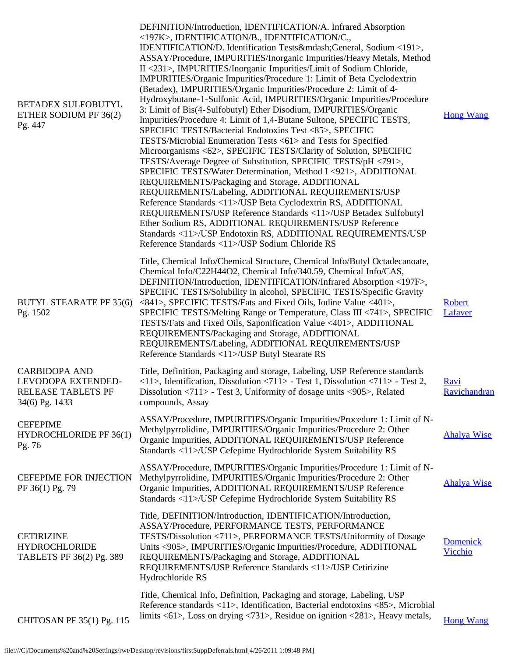| BETADEX SULFOBUTYL<br>ETHER SODIUM PF 36(2)<br>Pg. 447                             | DEFINITION/Introduction, IDENTIFICATION/A. Infrared Absorption<br><197K>, IDENTIFICATION/B., IDENTIFICATION/C.,<br>IDENTIFICATION/D. Identification Tests—General, Sodium <191>,<br>ASSAY/Procedure, IMPURITIES/Inorganic Impurities/Heavy Metals, Method<br>II <231>, IMPURITIES/Inorganic Impurities/Limit of Sodium Chloride,<br>IMPURITIES/Organic Impurities/Procedure 1: Limit of Beta Cyclodextrin<br>(Betadex), IMPURITIES/Organic Impurities/Procedure 2: Limit of 4-<br>Hydroxybutane-1-Sulfonic Acid, IMPURITIES/Organic Impurities/Procedure<br>3: Limit of Bis(4-Sulfobutyl) Ether Disodium, IMPURITIES/Organic<br>Impurities/Procedure 4: Limit of 1,4-Butane Sultone, SPECIFIC TESTS,<br>SPECIFIC TESTS/Bacterial Endotoxins Test <85>, SPECIFIC<br>TESTS/Microbial Enumeration Tests <61> and Tests for Specified<br>Microorganisms <62>, SPECIFIC TESTS/Clarity of Solution, SPECIFIC<br>TESTS/Average Degree of Substitution, SPECIFIC TESTS/pH <791>,<br>SPECIFIC TESTS/Water Determination, Method I <921>, ADDITIONAL<br>REQUIREMENTS/Packaging and Storage, ADDITIONAL<br>REQUIREMENTS/Labeling, ADDITIONAL REQUIREMENTS/USP<br>Reference Standards <11>/USP Beta Cyclodextrin RS, ADDITIONAL<br>REQUIREMENTS/USP Reference Standards <11>/USP Betadex Sulfobutyl<br>Ether Sodium RS, ADDITIONAL REQUIREMENTS/USP Reference<br>Standards <11>/USP Endotoxin RS, ADDITIONAL REQUIREMENTS/USP<br>Reference Standards <11>/USP Sodium Chloride RS | <b>Hong Wang</b>            |
|------------------------------------------------------------------------------------|----------------------------------------------------------------------------------------------------------------------------------------------------------------------------------------------------------------------------------------------------------------------------------------------------------------------------------------------------------------------------------------------------------------------------------------------------------------------------------------------------------------------------------------------------------------------------------------------------------------------------------------------------------------------------------------------------------------------------------------------------------------------------------------------------------------------------------------------------------------------------------------------------------------------------------------------------------------------------------------------------------------------------------------------------------------------------------------------------------------------------------------------------------------------------------------------------------------------------------------------------------------------------------------------------------------------------------------------------------------------------------------------------------------------------------------------------------------------|-----------------------------|
| <b>BUTYL STEARATE PF 35(6)</b><br>Pg. 1502                                         | Title, Chemical Info/Chemical Structure, Chemical Info/Butyl Octadecanoate,<br>Chemical Info/C22H44O2, Chemical Info/340.59, Chemical Info/CAS,<br>DEFINITION/Introduction, IDENTIFICATION/Infrared Absorption <197F>,<br>SPECIFIC TESTS/Solubility in alcohol, SPECIFIC TESTS/Specific Gravity<br><841>, SPECIFIC TESTS/Fats and Fixed Oils, Iodine Value <401>,<br>SPECIFIC TESTS/Melting Range or Temperature, Class III <741>, SPECIFIC<br>TESTS/Fats and Fixed Oils, Saponification Value <401>, ADDITIONAL<br>REQUIREMENTS/Packaging and Storage, ADDITIONAL<br>REQUIREMENTS/Labeling, ADDITIONAL REQUIREMENTS/USP<br>Reference Standards <11>/USP Butyl Stearate RS                                                                                                                                                                                                                                                                                                                                                                                                                                                                                                                                                                                                                                                                                                                                                                                           | Robert<br>Lafaver           |
| <b>CARBIDOPA AND</b><br>LEVODOPA EXTENDED-<br>RELEASE TABLETS PF<br>34(6) Pg. 1433 | Title, Definition, Packaging and storage, Labeling, USP Reference standards<br>$\langle 11 \rangle$ , Identification, Dissolution $\langle 711 \rangle$ - Test 1, Dissolution $\langle 711 \rangle$ - Test 2,<br>Dissolution $\langle 711 \rangle$ - Test 3, Uniformity of dosage units $\langle 905 \rangle$ , Related<br>compounds, Assay                                                                                                                                                                                                                                                                                                                                                                                                                                                                                                                                                                                                                                                                                                                                                                                                                                                                                                                                                                                                                                                                                                                          | <b>Ravi</b><br>Ravichandran |
| <b>CEFEPIME</b><br><b>HYDROCHLORIDE PF 36(1)</b><br>Pg. 76                         | ASSAY/Procedure, IMPURITIES/Organic Impurities/Procedure 1: Limit of N-<br>Methylpyrrolidine, IMPURITIES/Organic Impurities/Procedure 2: Other<br>Organic Impurities, ADDITIONAL REQUIREMENTS/USP Reference<br>Standards <11>/USP Cefepime Hydrochloride System Suitability RS                                                                                                                                                                                                                                                                                                                                                                                                                                                                                                                                                                                                                                                                                                                                                                                                                                                                                                                                                                                                                                                                                                                                                                                       | <b>Ahalya Wise</b>          |
| <b>CEFEPIME FOR INJECTION</b><br>PF 36(1) Pg. 79                                   | ASSAY/Procedure, IMPURITIES/Organic Impurities/Procedure 1: Limit of N-<br>Methylpyrrolidine, IMPURITIES/Organic Impurities/Procedure 2: Other<br>Organic Impurities, ADDITIONAL REQUIREMENTS/USP Reference<br>Standards <11>/USP Cefepime Hydrochloride System Suitability RS                                                                                                                                                                                                                                                                                                                                                                                                                                                                                                                                                                                                                                                                                                                                                                                                                                                                                                                                                                                                                                                                                                                                                                                       | <b>Ahalya Wise</b>          |
| <b>CETIRIZINE</b><br><b>HYDROCHLORIDE</b><br>TABLETS PF 36(2) Pg. 389              | Title, DEFINITION/Introduction, IDENTIFICATION/Introduction,<br>ASSAY/Procedure, PERFORMANCE TESTS, PERFORMANCE<br>TESTS/Dissolution <711>, PERFORMANCE TESTS/Uniformity of Dosage<br>Units <905>, IMPURITIES/Organic Impurities/Procedure, ADDITIONAL<br>REQUIREMENTS/Packaging and Storage, ADDITIONAL<br>REQUIREMENTS/USP Reference Standards <11>/USP Cetirizine<br>Hydrochloride RS                                                                                                                                                                                                                                                                                                                                                                                                                                                                                                                                                                                                                                                                                                                                                                                                                                                                                                                                                                                                                                                                             | <b>Domenick</b><br>Vicchio  |
| CHITOSAN PF 35(1) Pg. 115                                                          | Title, Chemical Info, Definition, Packaging and storage, Labeling, USP<br>Reference standards <11>, Identification, Bacterial endotoxins <85>, Microbial<br>limits <61>, Loss on drying <731>, Residue on ignition <281>, Heavy metals,                                                                                                                                                                                                                                                                                                                                                                                                                                                                                                                                                                                                                                                                                                                                                                                                                                                                                                                                                                                                                                                                                                                                                                                                                              | <b>Hong Wang</b>            |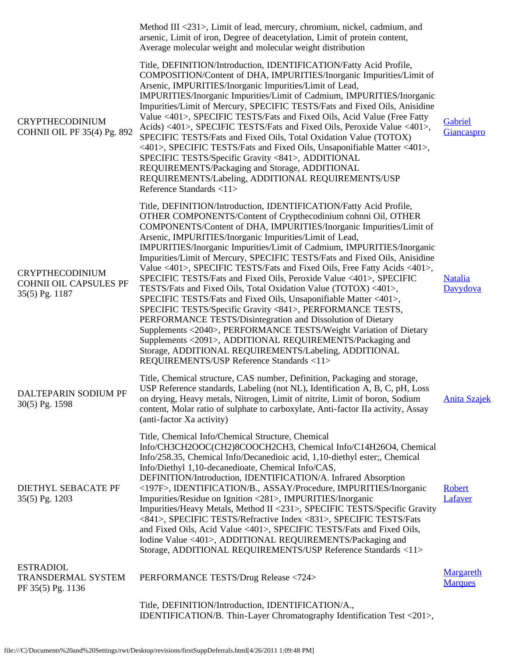|                                                                           | Method III <231>, Limit of lead, mercury, chromium, nickel, cadmium, and<br>arsenic, Limit of iron, Degree of deacetylation, Limit of protein content,<br>Average molecular weight and molecular weight distribution                                                                                                                                                                                                                                                                                                                                                                                                                                                                                                                                                                                                                                                                                                                                                                                                                                                                       |                                    |
|---------------------------------------------------------------------------|--------------------------------------------------------------------------------------------------------------------------------------------------------------------------------------------------------------------------------------------------------------------------------------------------------------------------------------------------------------------------------------------------------------------------------------------------------------------------------------------------------------------------------------------------------------------------------------------------------------------------------------------------------------------------------------------------------------------------------------------------------------------------------------------------------------------------------------------------------------------------------------------------------------------------------------------------------------------------------------------------------------------------------------------------------------------------------------------|------------------------------------|
| <b>CRYPTHECODINIUM</b><br><b>COHNII OIL PF 35(4) Pg. 892</b>              | Title, DEFINITION/Introduction, IDENTIFICATION/Fatty Acid Profile,<br>COMPOSITION/Content of DHA, IMPURITIES/Inorganic Impurities/Limit of<br>Arsenic, IMPURITIES/Inorganic Impurities/Limit of Lead,<br>IMPURITIES/Inorganic Impurities/Limit of Cadmium, IMPURITIES/Inorganic<br>Impurities/Limit of Mercury, SPECIFIC TESTS/Fats and Fixed Oils, Anisidine<br>Value <401>, SPECIFIC TESTS/Fats and Fixed Oils, Acid Value (Free Fatty<br>Acids) <401>, SPECIFIC TESTS/Fats and Fixed Oils, Peroxide Value <401>,<br>SPECIFIC TESTS/Fats and Fixed Oils, Total Oxidation Value (TOTOX)<br><401>, SPECIFIC TESTS/Fats and Fixed Oils, Unsaponifiable Matter <401>,<br>SPECIFIC TESTS/Specific Gravity <841>, ADDITIONAL<br>REQUIREMENTS/Packaging and Storage, ADDITIONAL<br>REQUIREMENTS/Labeling, ADDITIONAL REQUIREMENTS/USP<br>Reference Standards <11>                                                                                                                                                                                                                               | Gabriel<br>Giancaspro              |
| <b>CRYPTHECODINIUM</b><br><b>COHNII OIL CAPSULES PF</b><br>35(5) Pg. 1187 | Title, DEFINITION/Introduction, IDENTIFICATION/Fatty Acid Profile,<br>OTHER COMPONENTS/Content of Crypthecodinium cohnni Oil, OTHER<br>COMPONENTS/Content of DHA, IMPURITIES/Inorganic Impurities/Limit of<br>Arsenic, IMPURITIES/Inorganic Impurities/Limit of Lead,<br>IMPURITIES/Inorganic Impurities/Limit of Cadmium, IMPURITIES/Inorganic<br>Impurities/Limit of Mercury, SPECIFIC TESTS/Fats and Fixed Oils, Anisidine<br>Value <401>, SPECIFIC TESTS/Fats and Fixed Oils, Free Fatty Acids <401>,<br>SPECIFIC TESTS/Fats and Fixed Oils, Peroxide Value <401>, SPECIFIC<br>TESTS/Fats and Fixed Oils, Total Oxidation Value (TOTOX) <401>,<br>SPECIFIC TESTS/Fats and Fixed Oils, Unsaponifiable Matter <401>,<br>SPECIFIC TESTS/Specific Gravity <841>, PERFORMANCE TESTS,<br>PERFORMANCE TESTS/Disintegration and Dissolution of Dietary<br>Supplements <2040>, PERFORMANCE TESTS/Weight Variation of Dietary<br>Supplements <2091>, ADDITIONAL REQUIREMENTS/Packaging and<br>Storage, ADDITIONAL REQUIREMENTS/Labeling, ADDITIONAL<br>REQUIREMENTS/USP Reference Standards <11> | <b>Natalia</b><br>Davydova         |
| DALTEPARIN SODIUM PF<br>30(5) Pg. 1598                                    | Title, Chemical structure, CAS number, Definition, Packaging and storage,<br>USP Reference standards, Labeling (not NL), Identification A, B, C, pH, Loss<br>on drying, Heavy metals, Nitrogen, Limit of nitrite, Limit of boron, Sodium<br>content, Molar ratio of sulphate to carboxylate, Anti-factor IIa activity, Assay<br>(anti-factor Xa activity)                                                                                                                                                                                                                                                                                                                                                                                                                                                                                                                                                                                                                                                                                                                                  | <b>Anita Szajek</b>                |
| DIETHYL SEBACATE PF<br>35(5) Pg. 1203                                     | Title, Chemical Info/Chemical Structure, Chemical<br>Info/CH3CH2OOC(CH2)8COOCH2CH3, Chemical Info/C14H26O4, Chemical<br>Info/258.35, Chemical Info/Decanedioic acid, 1,10-diethyl ester;, Chemical<br>Info/Diethyl 1,10-decanedioate, Chemical Info/CAS,<br>DEFINITION/Introduction, IDENTIFICATION/A. Infrared Absorption<br><197F>, IDENTIFICATION/B., ASSAY/Procedure, IMPURITIES/Inorganic<br>Impurities/Residue on Ignition <281>, IMPURITIES/Inorganic<br>Impurities/Heavy Metals, Method II <231>, SPECIFIC TESTS/Specific Gravity<br><841>, SPECIFIC TESTS/Refractive Index <831>, SPECIFIC TESTS/Fats<br>and Fixed Oils, Acid Value <401>, SPECIFIC TESTS/Fats and Fixed Oils,<br>Iodine Value <401>, ADDITIONAL REQUIREMENTS/Packaging and<br>Storage, ADDITIONAL REQUIREMENTS/USP Reference Standards <11>                                                                                                                                                                                                                                                                      | Robert<br>Lafaver                  |
| <b>ESTRADIOL</b><br>TRANSDERMAL SYSTEM<br>PF 35(5) Pg. 1136               | PERFORMANCE TESTS/Drug Release <724>                                                                                                                                                                                                                                                                                                                                                                                                                                                                                                                                                                                                                                                                                                                                                                                                                                                                                                                                                                                                                                                       | <b>Margareth</b><br><b>Marques</b> |
|                                                                           | Title, DEFINITION/Introduction, IDENTIFICATION/A.,<br>IDENTIFICATION/B. Thin-Layer Chromatography Identification Test <201>,                                                                                                                                                                                                                                                                                                                                                                                                                                                                                                                                                                                                                                                                                                                                                                                                                                                                                                                                                               |                                    |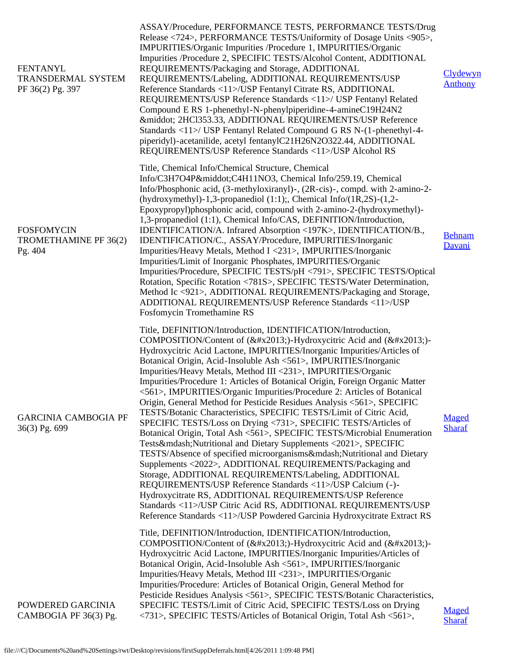| <b>FENTANYL</b><br><b>TRANSDERMAL SYSTEM</b><br>PF 36(2) Pg. 397 | ASSAY/Procedure, PERFORMANCE TESTS, PERFORMANCE TESTS/Drug<br>Release <724>, PERFORMANCE TESTS/Uniformity of Dosage Units <905>,<br>IMPURITIES/Organic Impurities /Procedure 1, IMPURITIES/Organic<br>Impurities /Procedure 2, SPECIFIC TESTS/Alcohol Content, ADDITIONAL<br>REQUIREMENTS/Packaging and Storage, ADDITIONAL<br>REQUIREMENTS/Labeling, ADDITIONAL REQUIREMENTS/USP<br>Reference Standards <11>/USP Fentanyl Citrate RS, ADDITIONAL<br>REQUIREMENTS/USP Reference Standards <11>/ USP Fentanyl Related<br>Compound E RS 1-phenethyl-N-phenylpiperidine-4-amineC19H24N2<br>· 2HCl353.33, ADDITIONAL REQUIREMENTS/USP Reference<br>Standards <11>/ USP Fentanyl Related Compound G RS N-(1-phenethyl-4-<br>piperidyl)-acetanilide, acetyl fentanylC21H26N2O322.44, ADDITIONAL<br>REQUIREMENTS/USP Reference Standards <11>/USP Alcohol RS                                                                                                                                                                                                                                                                                                                                                                                                                                                                             | Clydewyn<br><b>Anthony</b> |
|------------------------------------------------------------------|-----------------------------------------------------------------------------------------------------------------------------------------------------------------------------------------------------------------------------------------------------------------------------------------------------------------------------------------------------------------------------------------------------------------------------------------------------------------------------------------------------------------------------------------------------------------------------------------------------------------------------------------------------------------------------------------------------------------------------------------------------------------------------------------------------------------------------------------------------------------------------------------------------------------------------------------------------------------------------------------------------------------------------------------------------------------------------------------------------------------------------------------------------------------------------------------------------------------------------------------------------------------------------------------------------------------------------------|----------------------------|
| <b>FOSFOMYCIN</b><br>TROMETHAMINE PF 36(2)<br>Pg. 404            | Title, Chemical Info/Chemical Structure, Chemical<br>Info/C3H7O4P·C4H11NO3, Chemical Info/259.19, Chemical<br>Info/Phosphonic acid, (3-methyloxiranyl)-, (2R-cis)-, compd. with 2-amino-2-<br>(hydroxymethyl)-1,3-propanediol $(1:1)$ ;, Chemical Info/ $(1R,2S)$ - $(1,2$ -<br>Epoxypropyl)phosphonic acid, compound with 2-amino-2-(hydroxymethyl)-<br>1,3-propanediol (1:1), Chemical Info/CAS, DEFINITION/Introduction,<br>IDENTIFICATION/A. Infrared Absorption <197K>, IDENTIFICATION/B.,<br>IDENTIFICATION/C., ASSAY/Procedure, IMPURITIES/Inorganic<br>Impurities/Heavy Metals, Method I <231>, IMPURITIES/Inorganic<br>Impurities/Limit of Inorganic Phosphates, IMPURITIES/Organic<br>Impurities/Procedure, SPECIFIC TESTS/pH <791>, SPECIFIC TESTS/Optical<br>Rotation, Specific Rotation <781S>, SPECIFIC TESTS/Water Determination,<br>Method Ic <921>, ADDITIONAL REQUIREMENTS/Packaging and Storage,<br>ADDITIONAL REQUIREMENTS/USP Reference Standards <11>/USP<br>Fosfomycin Tromethamine RS                                                                                                                                                                                                                                                                                                                     | <b>Behnam</b><br>Davani    |
| <b>GARCINIA CAMBOGIA PF</b><br>36(3) Pg. 699                     | Title, DEFINITION/Introduction, IDENTIFICATION/Introduction,<br>COMPOSITION/Content of (–)-Hydroxycitric Acid and (–)-<br>Hydroxycitric Acid Lactone, IMPURITIES/Inorganic Impurities/Articles of<br>Botanical Origin, Acid-Insoluble Ash <561>, IMPURITIES/Inorganic<br>Impurities/Heavy Metals, Method III <231>, IMPURITIES/Organic<br>Impurities/Procedure 1: Articles of Botanical Origin, Foreign Organic Matter<br><561>, IMPURITIES/Organic Impurities/Procedure 2: Articles of Botanical<br>Origin, General Method for Pesticide Residues Analysis <561>, SPECIFIC<br>TESTS/Botanic Characteristics, SPECIFIC TESTS/Limit of Citric Acid,<br>SPECIFIC TESTS/Loss on Drying <731>, SPECIFIC TESTS/Articles of<br>Botanical Origin, Total Ash <561>, SPECIFIC TESTS/Microbial Enumeration<br>Tests—Nutritional and Dietary Supplements <2021>, SPECIFIC<br>TESTS/Absence of specified microorganisms—Nutritional and Dietary<br>Supplements <2022>, ADDITIONAL REQUIREMENTS/Packaging and<br>Storage, ADDITIONAL REQUIREMENTS/Labeling, ADDITIONAL<br>REQUIREMENTS/USP Reference Standards <11>/USP Calcium (-)-<br>Hydroxycitrate RS, ADDITIONAL REQUIREMENTS/USP Reference<br>Standards <11>/USP Citric Acid RS, ADDITIONAL REQUIREMENTS/USP<br>Reference Standards <11>/USP Powdered Garcinia Hydroxycitrate Extract RS | Maged<br><b>Sharaf</b>     |
| POWDERED GARCINIA<br>CAMBOGIA PF 36(3) Pg.                       | Title, DEFINITION/Introduction, IDENTIFICATION/Introduction,<br>COMPOSITION/Content of (–)-Hydroxycitric Acid and (–)-<br>Hydroxycitric Acid Lactone, IMPURITIES/Inorganic Impurities/Articles of<br>Botanical Origin, Acid-Insoluble Ash <561>, IMPURITIES/Inorganic<br>Impurities/Heavy Metals, Method III <231>, IMPURITIES/Organic<br>Impurities/Procedure: Articles of Botanical Origin, General Method for<br>Pesticide Residues Analysis <561>, SPECIFIC TESTS/Botanic Characteristics,<br>SPECIFIC TESTS/Limit of Citric Acid, SPECIFIC TESTS/Loss on Drying<br><731>, SPECIFIC TESTS/Articles of Botanical Origin, Total Ash <561>,                                                                                                                                                                                                                                                                                                                                                                                                                                                                                                                                                                                                                                                                                      | Maged<br><b>Sharaf</b>     |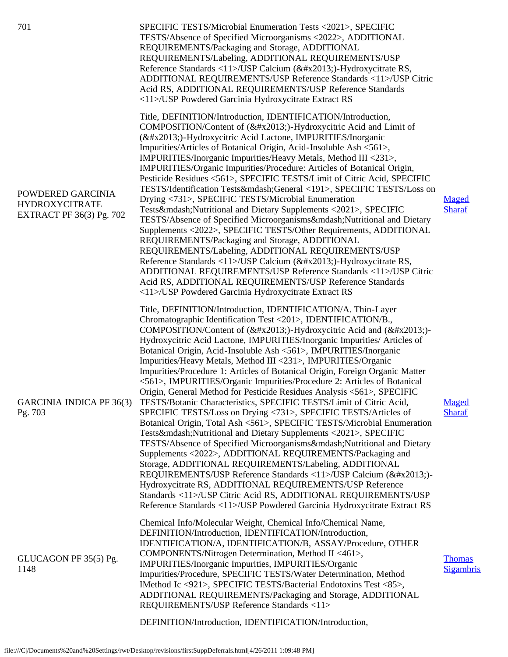| 701                                                                           | SPECIFIC TESTS/Microbial Enumeration Tests <2021>, SPECIFIC<br>TESTS/Absence of Specified Microorganisms <2022>, ADDITIONAL<br>REQUIREMENTS/Packaging and Storage, ADDITIONAL<br>REQUIREMENTS/Labeling, ADDITIONAL REQUIREMENTS/USP<br>Reference Standards <11>/USP Calcium (–)-Hydroxycitrate RS,<br>ADDITIONAL REQUIREMENTS/USP Reference Standards <11>/USP Citric<br>Acid RS, ADDITIONAL REQUIREMENTS/USP Reference Standards<br><11>/USP Powdered Garcinia Hydroxycitrate Extract RS                                                                                                                                                                                                                                                                                                                                                                                                                                                                                                                                                                                                                                                                                                                                                                                                                                                                                                           |                                   |
|-------------------------------------------------------------------------------|-----------------------------------------------------------------------------------------------------------------------------------------------------------------------------------------------------------------------------------------------------------------------------------------------------------------------------------------------------------------------------------------------------------------------------------------------------------------------------------------------------------------------------------------------------------------------------------------------------------------------------------------------------------------------------------------------------------------------------------------------------------------------------------------------------------------------------------------------------------------------------------------------------------------------------------------------------------------------------------------------------------------------------------------------------------------------------------------------------------------------------------------------------------------------------------------------------------------------------------------------------------------------------------------------------------------------------------------------------------------------------------------------------|-----------------------------------|
| POWDERED GARCINIA<br><b>HYDROXYCITRATE</b><br><b>EXTRACT PF 36(3) Pg. 702</b> | Title, DEFINITION/Introduction, IDENTIFICATION/Introduction,<br>COMPOSITION/Content of (–)-Hydroxycitric Acid and Limit of<br>(–)-Hydroxycitric Acid Lactone, IMPURITIES/Inorganic<br>Impurities/Articles of Botanical Origin, Acid-Insoluble Ash <561>,<br>IMPURITIES/Inorganic Impurities/Heavy Metals, Method III <231>,<br>IMPURITIES/Organic Impurities/Procedure: Articles of Botanical Origin,<br>Pesticide Residues <561>, SPECIFIC TESTS/Limit of Citric Acid, SPECIFIC<br>TESTS/Identification Tests—General <191>, SPECIFIC TESTS/Loss on<br>Drying <731>, SPECIFIC TESTS/Microbial Enumeration<br>Tests—Nutritional and Dietary Supplements <2021>, SPECIFIC<br>TESTS/Absence of Specified Microorganisms—Nutritional and Dietary<br>Supplements <2022>, SPECIFIC TESTS/Other Requirements, ADDITIONAL<br>REQUIREMENTS/Packaging and Storage, ADDITIONAL<br>REQUIREMENTS/Labeling, ADDITIONAL REQUIREMENTS/USP<br>Reference Standards <11>/USP Calcium (–)-Hydroxycitrate RS,<br>ADDITIONAL REQUIREMENTS/USP Reference Standards <11>/USP Citric<br>Acid RS, ADDITIONAL REQUIREMENTS/USP Reference Standards<br><11>/USP Powdered Garcinia Hydroxycitrate Extract RS                                                                                                                                                                                                                    | Maged<br><b>Sharaf</b>            |
| GARCINIA INDICA PF 36(3)<br>Pg. 703                                           | Title, DEFINITION/Introduction, IDENTIFICATION/A. Thin-Layer<br>Chromatographic Identification Test <201>, IDENTIFICATION/B.,<br>COMPOSITION/Content of (–)-Hydroxycitric Acid and (–)-<br>Hydroxycitric Acid Lactone, IMPURITIES/Inorganic Impurities/ Articles of<br>Botanical Origin, Acid-Insoluble Ash <561>, IMPURITIES/Inorganic<br>Impurities/Heavy Metals, Method III <231>, IMPURITIES/Organic<br>Impurities/Procedure 1: Articles of Botanical Origin, Foreign Organic Matter<br><561>, IMPURITIES/Organic Impurities/Procedure 2: Articles of Botanical<br>Origin, General Method for Pesticide Residues Analysis <561>, SPECIFIC<br>TESTS/Botanic Characteristics, SPECIFIC TESTS/Limit of Citric Acid,<br>SPECIFIC TESTS/Loss on Drying <731>, SPECIFIC TESTS/Articles of<br>Botanical Origin, Total Ash <561>, SPECIFIC TESTS/Microbial Enumeration<br>Tests—Nutritional and Dietary Supplements <2021>, SPECIFIC<br>TESTS/Absence of Specified Microorganisms—Nutritional and Dietary<br>Supplements <2022>, ADDITIONAL REQUIREMENTS/Packaging and<br>Storage, ADDITIONAL REQUIREMENTS/Labeling, ADDITIONAL<br>REQUIREMENTS/USP Reference Standards <11>/USP Calcium (–)-<br>Hydroxycitrate RS, ADDITIONAL REQUIREMENTS/USP Reference<br>Standards <11>/USP Citric Acid RS, ADDITIONAL REQUIREMENTS/USP<br>Reference Standards <11>/USP Powdered Garcinia Hydroxycitrate Extract RS | Maged<br><b>Sharaf</b>            |
| GLUCAGON PF 35(5) Pg.<br>1148                                                 | Chemical Info/Molecular Weight, Chemical Info/Chemical Name,<br>DEFINITION/Introduction, IDENTIFICATION/Introduction,<br>IDENTIFICATION/A, IDENTIFICATION/B, ASSAY/Procedure, OTHER<br>COMPONENTS/Nitrogen Determination, Method II <461>,<br>IMPURITIES/Inorganic Impurities, IMPURITIES/Organic<br>Impurities/Procedure, SPECIFIC TESTS/Water Determination, Method<br>IMethod Ic <921>, SPECIFIC TESTS/Bacterial Endotoxins Test <85>,<br>ADDITIONAL REQUIREMENTS/Packaging and Storage, ADDITIONAL<br>REQUIREMENTS/USP Reference Standards <11>                                                                                                                                                                                                                                                                                                                                                                                                                                                                                                                                                                                                                                                                                                                                                                                                                                                 | <b>Thomas</b><br><b>Sigambris</b> |
|                                                                               | DEFINITION/Introduction, IDENTIFICATION/Introduction,                                                                                                                                                                                                                                                                                                                                                                                                                                                                                                                                                                                                                                                                                                                                                                                                                                                                                                                                                                                                                                                                                                                                                                                                                                                                                                                                               |                                   |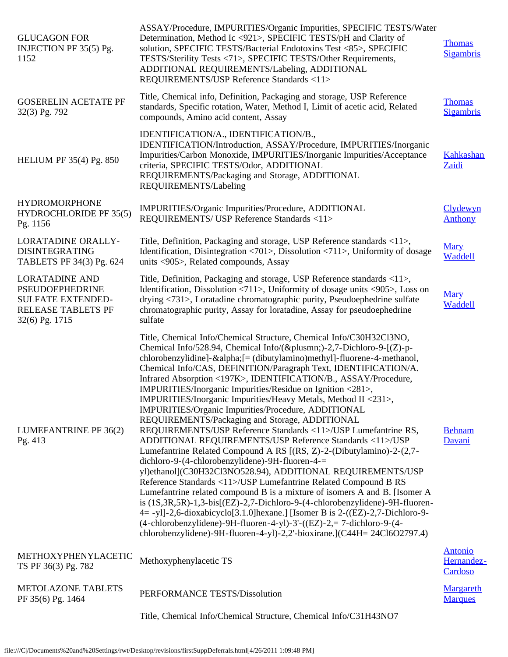| Title, Chemical info, Definition, Packaging and storage, USP Reference<br><b>GOSERELIN ACETATE PF</b><br><b>Thomas</b><br>standards, Specific rotation, Water, Method I, Limit of acetic acid, Related<br>32(3) Pg. 792<br>compounds, Amino acid content, Assay<br>IDENTIFICATION/A., IDENTIFICATION/B.,<br>IDENTIFICATION/Introduction, ASSAY/Procedure, IMPURITIES/Inorganic<br>Impurities/Carbon Monoxide, IMPURITIES/Inorganic Impurities/Acceptance<br><b>HELIUM PF 35(4) Pg. 850</b><br>criteria, SPECIFIC TESTS/Odor, ADDITIONAL<br>Zaidi<br>REQUIREMENTS/Packaging and Storage, ADDITIONAL<br>REQUIREMENTS/Labeling<br><b>HYDROMORPHONE</b><br>IMPURITIES/Organic Impurities/Procedure, ADDITIONAL<br><b>HYDROCHLORIDE PF 35(5)</b><br>REQUIREMENTS/ USP Reference Standards <11><br><b>Anthony</b><br>Pg. 1156<br>Title, Definition, Packaging and storage, USP Reference standards <11>,<br><b>LORATADINE ORALLY-</b><br>Mary<br>Identification, Disintegration <701>, Dissolution <711>, Uniformity of dosage<br><b>DISINTEGRATING</b><br>Waddell<br>TABLETS PF 34(3) Pg. 624<br>units <905>, Related compounds, Assay<br><b>LORATADINE AND</b><br>Title, Definition, Packaging and storage, USP Reference standards <11>,<br>Identification, Dissolution <711>, Uniformity of dosage units <905>, Loss on<br><b>PSEUDOEPHEDRINE</b><br><b>Mary</b><br>drying <731>, Loratadine chromatographic purity, Pseudoephedrine sulfate<br><b>SULFATE EXTENDED-</b><br>Waddell<br>chromatographic purity, Assay for loratadine, Assay for pseudoephedrine<br><b>RELEASE TABLETS PF</b><br>32(6) Pg. 1715<br>sulfate<br>Title, Chemical Info/Chemical Structure, Chemical Info/C30H32Cl3NO,<br>Chemical Info/528.94, Chemical Info/(±)-2,7-Dichloro-9-[(Z)-p-<br>chlorobenzylidine]-α [= (dibutylamino) methyl]-fluorene-4-methanol,<br>Chemical Info/CAS, DEFINITION/Paragraph Text, IDENTIFICATION/A.<br>Infrared Absorption <197K>, IDENTIFICATION/B., ASSAY/Procedure,<br>IMPURITIES/Inorganic Impurities/Residue on Ignition <281>,<br>IMPURITIES/Inorganic Impurities/Heavy Metals, Method II <231>,<br>IMPURITIES/Organic Impurities/Procedure, ADDITIONAL<br>REQUIREMENTS/Packaging and Storage, ADDITIONAL<br>REQUIREMENTS/USP Reference Standards <11>/USP Lumefantrine RS,<br>LUMEFANTRINE PF 36(2)<br><b>Behnam</b><br>Davani<br>Pg. 413<br>ADDITIONAL REQUIREMENTS/USP Reference Standards <11>/USP<br>Lumefantrine Related Compound A RS [(RS, Z)-2-(Dibutylamino)-2-(2,7-<br>dichloro-9-(4-chlorobenzylidene)-9H-fluoren-4-=<br>yl)ethanol](C30H32Cl3NO528.94), ADDITIONAL REQUIREMENTS/USP<br>Reference Standards <11>/USP Lumefantrine Related Compound B RS<br>Lumefantrine related compound B is a mixture of isomers A and B. [Isomer A<br>is (1S,3R,5R)-1,3-bis[(EZ)-2,7-Dichloro-9-(4-chlorobenzylidene)-9H-fluoren-<br>4 = -yl]-2,6-dioxabicyclo[3.1.0]hexane.] [Isomer B is 2-((EZ)-2,7-Dichloro-9-<br>$(4-chlorobenzylidene) - 9H-fluoren-4-yl) - 3' - ((EZ) - 2 = 7-dichloro-9-(4-$<br>chlorobenzylidene)-9H-fluoren-4-yl)-2,2'-bioxirane.](C44H= 24Cl6O2797.4)<br><b>Antonio</b><br>METHOXYPHENYLACETIC<br>Methoxyphenylacetic TS<br>TS PF 36(3) Pg. 782<br>Cardoso<br><b>METOLAZONE TABLETS</b><br>PERFORMANCE TESTS/Dissolution<br>PF 35(6) Pg. 1464<br><b>Marques</b><br>Title, Chemical Info/Chemical Structure, Chemical Info/C31H43NO7 | <b>GLUCAGON FOR</b><br>INJECTION PF 35(5) Pg.<br>1152 | ASSAY/Procedure, IMPURITIES/Organic Impurities, SPECIFIC TESTS/Water<br>Determination, Method Ic <921>, SPECIFIC TESTS/pH and Clarity of<br>solution, SPECIFIC TESTS/Bacterial Endotoxins Test <85>, SPECIFIC<br>TESTS/Sterility Tests <71>, SPECIFIC TESTS/Other Requirements,<br>ADDITIONAL REQUIREMENTS/Labeling, ADDITIONAL<br>REQUIREMENTS/USP Reference Standards <11> | <b>Thomas</b><br><b>Sigambris</b> |
|---------------------------------------------------------------------------------------------------------------------------------------------------------------------------------------------------------------------------------------------------------------------------------------------------------------------------------------------------------------------------------------------------------------------------------------------------------------------------------------------------------------------------------------------------------------------------------------------------------------------------------------------------------------------------------------------------------------------------------------------------------------------------------------------------------------------------------------------------------------------------------------------------------------------------------------------------------------------------------------------------------------------------------------------------------------------------------------------------------------------------------------------------------------------------------------------------------------------------------------------------------------------------------------------------------------------------------------------------------------------------------------------------------------------------------------------------------------------------------------------------------------------------------------------------------------------------------------------------------------------------------------------------------------------------------------------------------------------------------------------------------------------------------------------------------------------------------------------------------------------------------------------------------------------------------------------------------------------------------------------------------------------------------------------------------------------------------------------------------------------------------------------------------------------------------------------------------------------------------------------------------------------------------------------------------------------------------------------------------------------------------------------------------------------------------------------------------------------------------------------------------------------------------------------------------------------------------------------------------------------------------------------------------------------------------------------------------------------------------------------------------------------------------------------------------------------------------------------------------------------------------------------------------------------------------------------------------------------------------------------------------------------------------------------------------------------------------------------------------------------------------------------------------------------------------------------------------------------------------------------------------------------------------------------------------------------------------------------------------------------------|-------------------------------------------------------|------------------------------------------------------------------------------------------------------------------------------------------------------------------------------------------------------------------------------------------------------------------------------------------------------------------------------------------------------------------------------|-----------------------------------|
|                                                                                                                                                                                                                                                                                                                                                                                                                                                                                                                                                                                                                                                                                                                                                                                                                                                                                                                                                                                                                                                                                                                                                                                                                                                                                                                                                                                                                                                                                                                                                                                                                                                                                                                                                                                                                                                                                                                                                                                                                                                                                                                                                                                                                                                                                                                                                                                                                                                                                                                                                                                                                                                                                                                                                                                                                                                                                                                                                                                                                                                                                                                                                                                                                                                                                                                                                                           |                                                       |                                                                                                                                                                                                                                                                                                                                                                              | <b>Sigambris</b>                  |
|                                                                                                                                                                                                                                                                                                                                                                                                                                                                                                                                                                                                                                                                                                                                                                                                                                                                                                                                                                                                                                                                                                                                                                                                                                                                                                                                                                                                                                                                                                                                                                                                                                                                                                                                                                                                                                                                                                                                                                                                                                                                                                                                                                                                                                                                                                                                                                                                                                                                                                                                                                                                                                                                                                                                                                                                                                                                                                                                                                                                                                                                                                                                                                                                                                                                                                                                                                           |                                                       |                                                                                                                                                                                                                                                                                                                                                                              | Kahkashan                         |
|                                                                                                                                                                                                                                                                                                                                                                                                                                                                                                                                                                                                                                                                                                                                                                                                                                                                                                                                                                                                                                                                                                                                                                                                                                                                                                                                                                                                                                                                                                                                                                                                                                                                                                                                                                                                                                                                                                                                                                                                                                                                                                                                                                                                                                                                                                                                                                                                                                                                                                                                                                                                                                                                                                                                                                                                                                                                                                                                                                                                                                                                                                                                                                                                                                                                                                                                                                           |                                                       |                                                                                                                                                                                                                                                                                                                                                                              | Clydewyn                          |
|                                                                                                                                                                                                                                                                                                                                                                                                                                                                                                                                                                                                                                                                                                                                                                                                                                                                                                                                                                                                                                                                                                                                                                                                                                                                                                                                                                                                                                                                                                                                                                                                                                                                                                                                                                                                                                                                                                                                                                                                                                                                                                                                                                                                                                                                                                                                                                                                                                                                                                                                                                                                                                                                                                                                                                                                                                                                                                                                                                                                                                                                                                                                                                                                                                                                                                                                                                           |                                                       |                                                                                                                                                                                                                                                                                                                                                                              |                                   |
|                                                                                                                                                                                                                                                                                                                                                                                                                                                                                                                                                                                                                                                                                                                                                                                                                                                                                                                                                                                                                                                                                                                                                                                                                                                                                                                                                                                                                                                                                                                                                                                                                                                                                                                                                                                                                                                                                                                                                                                                                                                                                                                                                                                                                                                                                                                                                                                                                                                                                                                                                                                                                                                                                                                                                                                                                                                                                                                                                                                                                                                                                                                                                                                                                                                                                                                                                                           |                                                       |                                                                                                                                                                                                                                                                                                                                                                              |                                   |
|                                                                                                                                                                                                                                                                                                                                                                                                                                                                                                                                                                                                                                                                                                                                                                                                                                                                                                                                                                                                                                                                                                                                                                                                                                                                                                                                                                                                                                                                                                                                                                                                                                                                                                                                                                                                                                                                                                                                                                                                                                                                                                                                                                                                                                                                                                                                                                                                                                                                                                                                                                                                                                                                                                                                                                                                                                                                                                                                                                                                                                                                                                                                                                                                                                                                                                                                                                           |                                                       |                                                                                                                                                                                                                                                                                                                                                                              |                                   |
|                                                                                                                                                                                                                                                                                                                                                                                                                                                                                                                                                                                                                                                                                                                                                                                                                                                                                                                                                                                                                                                                                                                                                                                                                                                                                                                                                                                                                                                                                                                                                                                                                                                                                                                                                                                                                                                                                                                                                                                                                                                                                                                                                                                                                                                                                                                                                                                                                                                                                                                                                                                                                                                                                                                                                                                                                                                                                                                                                                                                                                                                                                                                                                                                                                                                                                                                                                           |                                                       |                                                                                                                                                                                                                                                                                                                                                                              | Hernandez-                        |
|                                                                                                                                                                                                                                                                                                                                                                                                                                                                                                                                                                                                                                                                                                                                                                                                                                                                                                                                                                                                                                                                                                                                                                                                                                                                                                                                                                                                                                                                                                                                                                                                                                                                                                                                                                                                                                                                                                                                                                                                                                                                                                                                                                                                                                                                                                                                                                                                                                                                                                                                                                                                                                                                                                                                                                                                                                                                                                                                                                                                                                                                                                                                                                                                                                                                                                                                                                           |                                                       |                                                                                                                                                                                                                                                                                                                                                                              | <b>Margareth</b>                  |
|                                                                                                                                                                                                                                                                                                                                                                                                                                                                                                                                                                                                                                                                                                                                                                                                                                                                                                                                                                                                                                                                                                                                                                                                                                                                                                                                                                                                                                                                                                                                                                                                                                                                                                                                                                                                                                                                                                                                                                                                                                                                                                                                                                                                                                                                                                                                                                                                                                                                                                                                                                                                                                                                                                                                                                                                                                                                                                                                                                                                                                                                                                                                                                                                                                                                                                                                                                           |                                                       |                                                                                                                                                                                                                                                                                                                                                                              |                                   |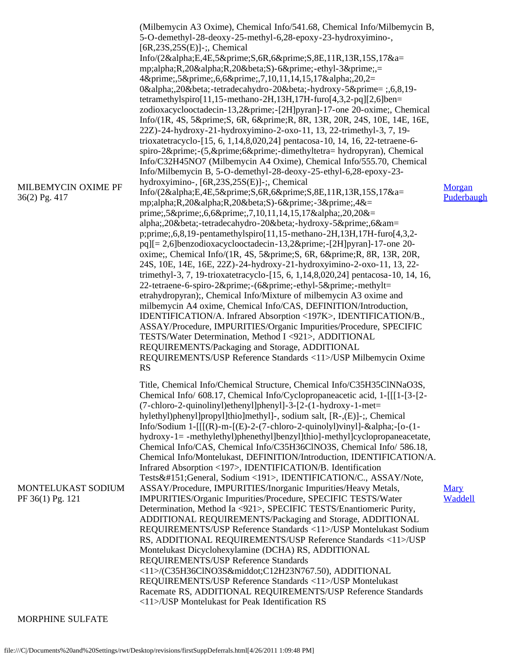| MILBEMYCIN OXIME PF<br>36(2) Pg. 417   | (Milbemycin A3 Oxime), Chemical Info/541.68, Chemical Info/Milbemycin B,<br>5-O-demethyl-28-deoxy-25-methyl-6,28-epoxy-23-hydroxyimino-,<br>$[6R, 23S, 25S(E)]$ -;, Chemical<br>Info/(2αE,4E,5′S,6R,6′S,8E,11R,13R,15S,17&a=<br>mp;alpha;R,20αR,20βS)-6′-ethyl-3′,=<br>4′,5′,6,6′,7,10,11,14,15,17α,20,2=<br>0α,20β-tetradecahydro-20β-hydroxy-5′=;,6,8,19-<br>tetramethylspiro[11,15-methano-2H,13H,17H-furo[4,3,2-pq][2,6]ben=<br>zodioxacyclooctadecin-13,2′-[2H]pyran]-17-one 20-oxime;, Chemical<br>Info/(1R, 4S, 5′ S, 6R, 6′ R, 8R, 13R, 20R, 24S, 10E, 14E, 16E,<br>22Z)-24-hydroxy-21-hydroxyimino-2-oxo-11, 13, 22-trimethyl-3, 7, 19-<br>trioxatetracyclo-[15, 6, 1,14,8,020,24] pentacosa-10, 14, 16, 22-tetraene-6-<br>spiro-2′-(5,′6′-dimethyltetra= hydropyran), Chemical<br>Info/C32H45NO7 (Milbemycin A4 Oxime), Chemical Info/555.70, Chemical<br>Info/Milbemycin B, 5-O-demethyl-28-deoxy-25-ethyl-6,28-epoxy-23-<br>hydroxyimino-, [6R,23S,25S(E)]-;, Chemical<br>Info/(2αE,4E,5′S,6R,6′S,8E,11R,13R,15S,17&a=<br>mp;alpha;R,20αR,20βS)-6′-3′,4&=<br>prime;,5′,6,6′,7,10,11,14,15,17α,20,20&=<br>alpha;,20β-tetradecahydro-20β-hydroxy-5′,6&am=<br>p;prime;,6,8,19-pentamethylspiro[11,15-methano-2H,13H,17H-furo[4,3,2-<br>pq][= 2,6]benzodioxacyclooctadecin-13,2′-[2H]pyran]-17-one 20-<br>oxime;, Chemical Info/(1R, 4S, 5′ S, 6R, 6′ R, 8R, 13R, 20R,<br>24S, 10E, 14E, 16E, 22Z)-24-hydroxy-21-hydroxyimino-2-oxo-11, 13, 22-<br>trimethyl-3, 7, 19-trioxatetracyclo-[15, 6, 1,14,8,020,24] pentacosa-10, 14, 16,<br>22-tetraene-6-spiro-2′-(6′-ethyl-5′-methylt=<br>etrahydropyran);, Chemical Info/Mixture of milbemycin A3 oxime and<br>milbemycin A4 oxime, Chemical Info/CAS, DEFINITION/Introduction,<br>IDENTIFICATION/A. Infrared Absorption <197K>, IDENTIFICATION/B.,<br>ASSAY/Procedure, IMPURITIES/Organic Impurities/Procedure, SPECIFIC<br>TESTS/Water Determination, Method I <921>, ADDITIONAL<br>REQUIREMENTS/Packaging and Storage, ADDITIONAL<br>REQUIREMENTS/USP Reference Standards <11>/USP Milbemycin Oxime<br><b>RS</b> | Morgan<br>Puderbaugh   |
|----------------------------------------|---------------------------------------------------------------------------------------------------------------------------------------------------------------------------------------------------------------------------------------------------------------------------------------------------------------------------------------------------------------------------------------------------------------------------------------------------------------------------------------------------------------------------------------------------------------------------------------------------------------------------------------------------------------------------------------------------------------------------------------------------------------------------------------------------------------------------------------------------------------------------------------------------------------------------------------------------------------------------------------------------------------------------------------------------------------------------------------------------------------------------------------------------------------------------------------------------------------------------------------------------------------------------------------------------------------------------------------------------------------------------------------------------------------------------------------------------------------------------------------------------------------------------------------------------------------------------------------------------------------------------------------------------------------------------------------------------------------------------------------------------------------------------------------------------------------------------------------------------------------------------------------------------------------------------------------------------------------------------------------------------------------------------------------------------------------------------|------------------------|
| MONTELUKAST SODIUM<br>PF 36(1) Pg. 121 | Title, Chemical Info/Chemical Structure, Chemical Info/C35H35ClNNaO3S,<br>Chemical Info/ 608.17, Chemical Info/Cyclopropaneacetic acid, 1-[[[1-[3-[2-<br>(7-chloro-2-quinolinyl)ethenyl]phenyl]-3-[2-(1-hydroxy-1-met=<br>hylethyl)phenyl]propyl]thio]methyl]-, sodium salt, [R-,(E)]-;, Chemical<br>Info/Sodium 1- $[[(R)-m-[(E)-2-(7-chloro-2-quinoly])viny]]$ -α- $[o-(1-$<br>hydroxy-1= -methylethyl)phenethyl]benzyl]thio]-methyl]cyclopropaneacetate,<br>Chemical Info/CAS, Chemical Info/C35H36ClNO3S, Chemical Info/ 586.18,<br>Chemical Info/Montelukast, DEFINITION/Introduction, IDENTIFICATION/A.<br>Infrared Absorption <197>, IDENTIFICATION/B. Identification<br>Tests—General, Sodium <191>, IDENTIFICATION/C., ASSAY/Note,<br>ASSAY/Procedure, IMPURITIES/Inorganic Impurities/Heavy Metals,<br>IMPURITIES/Organic Impurities/Procedure, SPECIFIC TESTS/Water<br>Determination, Method Ia <921>, SPECIFIC TESTS/Enantiomeric Purity,<br>ADDITIONAL REQUIREMENTS/Packaging and Storage, ADDITIONAL<br>REQUIREMENTS/USP Reference Standards <11>/USP Montelukast Sodium<br>RS, ADDITIONAL REQUIREMENTS/USP Reference Standards <11>/USP<br>Montelukast Dicyclohexylamine (DCHA) RS, ADDITIONAL<br>REQUIREMENTS/USP Reference Standards<br><11>/(C35H36ClNO3S·C12H23N767.50), ADDITIONAL<br>REQUIREMENTS/USP Reference Standards <11>/USP Montelukast<br>Racemate RS, ADDITIONAL REQUIREMENTS/USP Reference Standards<br><11>/USP Montelukast for Peak Identification RS                                                                                                                                                                                                                                                                                                                                                                                                                                                                                                                                                                                    | <b>Mary</b><br>Waddell |

## MORPHINE SULFATE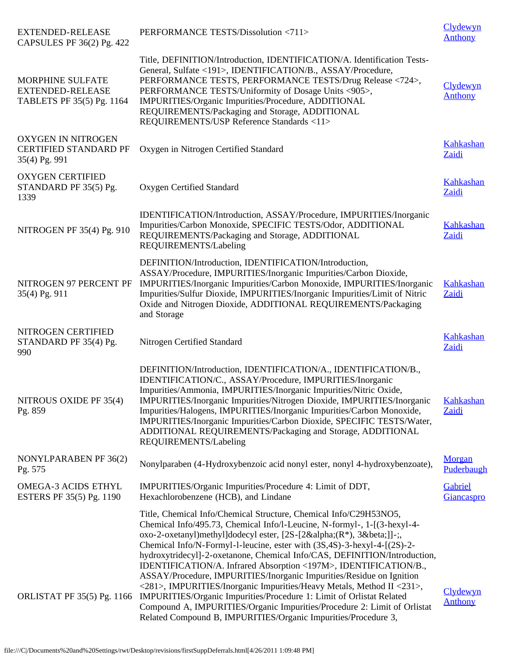| <b>EXTENDED-RELEASE</b><br>CAPSULES PF 36(2) Pg. 422                       | PERFORMANCE TESTS/Dissolution <711>                                                                                                                                                                                                                                                                                                                                                                                                                                                                                                                                                                                                                                                                                                                                                                           | Clydewyn<br><b>Anthony</b> |
|----------------------------------------------------------------------------|---------------------------------------------------------------------------------------------------------------------------------------------------------------------------------------------------------------------------------------------------------------------------------------------------------------------------------------------------------------------------------------------------------------------------------------------------------------------------------------------------------------------------------------------------------------------------------------------------------------------------------------------------------------------------------------------------------------------------------------------------------------------------------------------------------------|----------------------------|
| MORPHINE SULFATE<br><b>EXTENDED-RELEASE</b><br>TABLETS PF 35(5) Pg. 1164   | Title, DEFINITION/Introduction, IDENTIFICATION/A. Identification Tests-<br>General, Sulfate <191>, IDENTIFICATION/B., ASSAY/Procedure,<br>PERFORMANCE TESTS, PERFORMANCE TESTS/Drug Release <724>,<br>PERFORMANCE TESTS/Uniformity of Dosage Units <905>,<br>IMPURITIES/Organic Impurities/Procedure, ADDITIONAL<br>REQUIREMENTS/Packaging and Storage, ADDITIONAL<br>REQUIREMENTS/USP Reference Standards <11>                                                                                                                                                                                                                                                                                                                                                                                               | Clydewyn<br><b>Anthony</b> |
| <b>OXYGEN IN NITROGEN</b><br><b>CERTIFIED STANDARD PF</b><br>35(4) Pg. 991 | Oxygen in Nitrogen Certified Standard                                                                                                                                                                                                                                                                                                                                                                                                                                                                                                                                                                                                                                                                                                                                                                         | Kahkashan<br>Zaidi         |
| <b>OXYGEN CERTIFIED</b><br>STANDARD PF 35(5) Pg.<br>1339                   | Oxygen Certified Standard                                                                                                                                                                                                                                                                                                                                                                                                                                                                                                                                                                                                                                                                                                                                                                                     | Kahkashan<br>Zaidi         |
| NITROGEN PF 35(4) Pg. 910                                                  | IDENTIFICATION/Introduction, ASSAY/Procedure, IMPURITIES/Inorganic<br>Impurities/Carbon Monoxide, SPECIFIC TESTS/Odor, ADDITIONAL<br>REQUIREMENTS/Packaging and Storage, ADDITIONAL<br>REQUIREMENTS/Labeling                                                                                                                                                                                                                                                                                                                                                                                                                                                                                                                                                                                                  | Kahkashan<br>Zaidi         |
| NITROGEN 97 PERCENT PF<br>35(4) Pg. 911                                    | DEFINITION/Introduction, IDENTIFICATION/Introduction,<br>ASSAY/Procedure, IMPURITIES/Inorganic Impurities/Carbon Dioxide,<br>IMPURITIES/Inorganic Impurities/Carbon Monoxide, IMPURITIES/Inorganic<br>Impurities/Sulfur Dioxide, IMPURITIES/Inorganic Impurities/Limit of Nitric<br>Oxide and Nitrogen Dioxide, ADDITIONAL REQUIREMENTS/Packaging<br>and Storage                                                                                                                                                                                                                                                                                                                                                                                                                                              | Kahkashan<br>Zaidi         |
| NITROGEN CERTIFIED<br>STANDARD PF 35(4) Pg.<br>990                         | Nitrogen Certified Standard                                                                                                                                                                                                                                                                                                                                                                                                                                                                                                                                                                                                                                                                                                                                                                                   | Kahkashan<br>Zaidi         |
| NITROUS OXIDE PF 35(4)<br>Pg. 859                                          | DEFINITION/Introduction, IDENTIFICATION/A., IDENTIFICATION/B.,<br>IDENTIFICATION/C., ASSAY/Procedure, IMPURITIES/Inorganic<br>Impurities/Ammonia, IMPURITIES/Inorganic Impurities/Nitric Oxide,<br>IMPURITIES/Inorganic Impurities/Nitrogen Dioxide, IMPURITIES/Inorganic<br>Impurities/Halogens, IMPURITIES/Inorganic Impurities/Carbon Monoxide,<br>IMPURITIES/Inorganic Impurities/Carbon Dioxide, SPECIFIC TESTS/Water,<br>ADDITIONAL REQUIREMENTS/Packaging and Storage, ADDITIONAL<br>REQUIREMENTS/Labeling                                                                                                                                                                                                                                                                                             | Kahkashan<br>Zaidi         |
| NONYLPARABEN PF 36(2)<br>Pg. 575                                           | Nonylparaben (4-Hydroxybenzoic acid nonyl ester, nonyl 4-hydroxybenzoate),                                                                                                                                                                                                                                                                                                                                                                                                                                                                                                                                                                                                                                                                                                                                    | Morgan<br>Puderbaugh       |
| <b>OMEGA-3 ACIDS ETHYL</b><br>ESTERS PF 35(5) Pg. 1190                     | IMPURITIES/Organic Impurities/Procedure 4: Limit of DDT,<br>Hexachlorobenzene (HCB), and Lindane                                                                                                                                                                                                                                                                                                                                                                                                                                                                                                                                                                                                                                                                                                              | Gabriel<br>Giancaspro      |
| ORLISTAT PF 35(5) Pg. 1166                                                 | Title, Chemical Info/Chemical Structure, Chemical Info/C29H53NO5,<br>Chemical Info/495.73, Chemical Info/l-Leucine, N-formyl-, 1-[(3-hexyl-4-<br>oxo-2-oxetanyl)methyl]dodecyl ester, [2S-[2α(R*), 3β]]-;,<br>Chemical Info/N-Formyl-l-leucine, ester with (3S,4S)-3-hexyl-4-[(2S)-2-<br>hydroxytridecyl]-2-oxetanone, Chemical Info/CAS, DEFINITION/Introduction,<br>IDENTIFICATION/A. Infrared Absorption <197M>, IDENTIFICATION/B.,<br>ASSAY/Procedure, IMPURITIES/Inorganic Impurities/Residue on Ignition<br><281>, IMPURITIES/Inorganic Impurities/Heavy Metals, Method II <231>,<br>IMPURITIES/Organic Impurities/Procedure 1: Limit of Orlistat Related<br>Compound A, IMPURITIES/Organic Impurities/Procedure 2: Limit of Orlistat<br>Related Compound B, IMPURITIES/Organic Impurities/Procedure 3, | Clydewyn<br><b>Anthony</b> |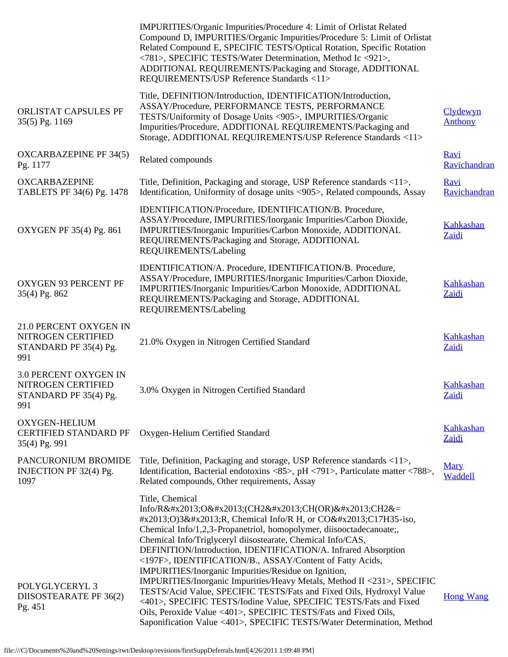|                                                                                    | IMPURITIES/Organic Impurities/Procedure 4: Limit of Orlistat Related<br>Compound D, IMPURITIES/Organic Impurities/Procedure 5: Limit of Orlistat<br>Related Compound E, SPECIFIC TESTS/Optical Rotation, Specific Rotation<br><781>, SPECIFIC TESTS/Water Determination, Method Ic <921>,<br>ADDITIONAL REQUIREMENTS/Packaging and Storage, ADDITIONAL<br>REQUIREMENTS/USP Reference Standards <11>                                                                                                                                                                                                                                                                                                                                                                                                 |                            |
|------------------------------------------------------------------------------------|-----------------------------------------------------------------------------------------------------------------------------------------------------------------------------------------------------------------------------------------------------------------------------------------------------------------------------------------------------------------------------------------------------------------------------------------------------------------------------------------------------------------------------------------------------------------------------------------------------------------------------------------------------------------------------------------------------------------------------------------------------------------------------------------------------|----------------------------|
| ORLISTAT CAPSULES PF<br>35(5) Pg. 1169                                             | Title, DEFINITION/Introduction, IDENTIFICATION/Introduction,<br>ASSAY/Procedure, PERFORMANCE TESTS, PERFORMANCE<br>TESTS/Uniformity of Dosage Units <905>, IMPURITIES/Organic<br>Impurities/Procedure, ADDITIONAL REQUIREMENTS/Packaging and<br>Storage, ADDITIONAL REQUIREMENTS/USP Reference Standards <11>                                                                                                                                                                                                                                                                                                                                                                                                                                                                                       | Clydewyn<br><b>Anthony</b> |
| <b>OXCARBAZEPINE PF 34(5)</b><br>Pg. 1177                                          | Related compounds                                                                                                                                                                                                                                                                                                                                                                                                                                                                                                                                                                                                                                                                                                                                                                                   | Ravi<br>Ravichandran       |
| <b>OXCARBAZEPINE</b><br>TABLETS PF 34(6) Pg. 1478                                  | Title, Definition, Packaging and storage, USP Reference standards <11>,<br>Identification, Uniformity of dosage units <905>, Related compounds, Assay                                                                                                                                                                                                                                                                                                                                                                                                                                                                                                                                                                                                                                               | Ravi<br>Ravichandran       |
| OXYGEN PF 35(4) Pg. 861                                                            | IDENTIFICATION/Procedure, IDENTIFICATION/B. Procedure,<br>ASSAY/Procedure, IMPURITIES/Inorganic Impurities/Carbon Dioxide,<br>IMPURITIES/Inorganic Impurities/Carbon Monoxide, ADDITIONAL<br>REQUIREMENTS/Packaging and Storage, ADDITIONAL<br>REQUIREMENTS/Labeling                                                                                                                                                                                                                                                                                                                                                                                                                                                                                                                                | <b>Kahkashan</b><br>Zaidi  |
| OXYGEN 93 PERCENT PF<br>35(4) Pg. 862                                              | IDENTIFICATION/A. Procedure, IDENTIFICATION/B. Procedure,<br>ASSAY/Procedure, IMPURITIES/Inorganic Impurities/Carbon Dioxide,<br>IMPURITIES/Inorganic Impurities/Carbon Monoxide, ADDITIONAL<br>REQUIREMENTS/Packaging and Storage, ADDITIONAL<br>REQUIREMENTS/Labeling                                                                                                                                                                                                                                                                                                                                                                                                                                                                                                                             | Kahkashan<br>Zaidi         |
| 21.0 PERCENT OXYGEN IN<br>NITROGEN CERTIFIED<br>STANDARD PF 35(4) Pg.<br>991       | 21.0% Oxygen in Nitrogen Certified Standard                                                                                                                                                                                                                                                                                                                                                                                                                                                                                                                                                                                                                                                                                                                                                         | <b>Kahkashan</b><br>Zaidi  |
| <b>3.0 PERCENT OXYGEN IN</b><br>NITROGEN CERTIFIED<br>STANDARD PF 35(4) Pg.<br>991 | 3.0% Oxygen in Nitrogen Certified Standard                                                                                                                                                                                                                                                                                                                                                                                                                                                                                                                                                                                                                                                                                                                                                          | Kahkashan<br>Zaidi         |
| OXYGEN-HELIUM<br><b>CERTIFIED STANDARD PF</b><br>35(4) Pg. 991                     | Oxygen-Helium Certified Standard                                                                                                                                                                                                                                                                                                                                                                                                                                                                                                                                                                                                                                                                                                                                                                    | Kahkashan<br>Zaidi         |
| PANCURONIUM BROMIDE<br>INJECTION PF 32(4) Pg.<br>1097                              | Title, Definition, Packaging and storage, USP Reference standards <11>,<br>Identification, Bacterial endotoxins <85>, pH <791>, Particulate matter <788>,<br>Related compounds, Other requirements, Assay                                                                                                                                                                                                                                                                                                                                                                                                                                                                                                                                                                                           | <b>Mary</b><br>Waddell     |
| POLYGLYCERYL 3<br>DIISOSTEARATE PF 36(2)<br>Pg. 451                                | Title, Chemical<br>Info/R–O–(CH2–CH(OR)–CH2&=<br>#x2013;O)3–R, Chemical Info/R H, or CO–C17H35-iso,<br>Chemical Info/1,2,3-Propanetriol, homopolymer, diisooctadecanoate;<br>Chemical Info/Triglyceryl diisostearate, Chemical Info/CAS,<br>DEFINITION/Introduction, IDENTIFICATION/A. Infrared Absorption<br><197F>, IDENTIFICATION/B., ASSAY/Content of Fatty Acids,<br>IMPURITIES/Inorganic Impurities/Residue on Ignition,<br>IMPURITIES/Inorganic Impurities/Heavy Metals, Method II <231>, SPECIFIC<br>TESTS/Acid Value, SPECIFIC TESTS/Fats and Fixed Oils, Hydroxyl Value<br><401>, SPECIFIC TESTS/Iodine Value, SPECIFIC TESTS/Fats and Fixed<br>Oils, Peroxide Value <401>, SPECIFIC TESTS/Fats and Fixed Oils,<br>Saponification Value <401>, SPECIFIC TESTS/Water Determination, Method | <b>Hong Wang</b>           |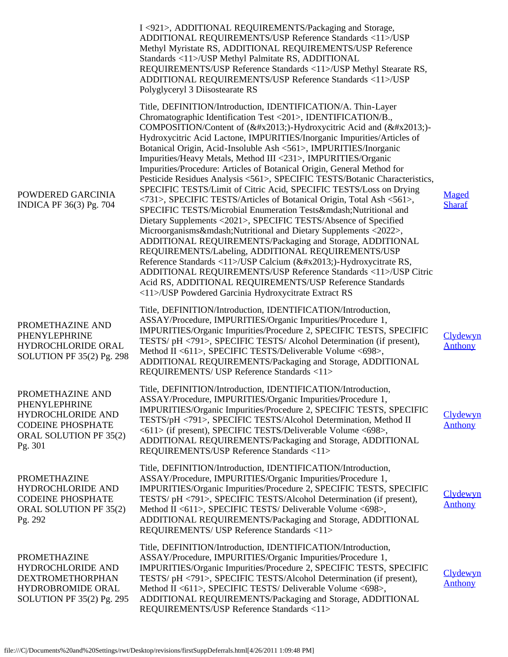|                                                                                                                         | I <921>, ADDITIONAL REQUIREMENTS/Packaging and Storage,<br>ADDITIONAL REQUIREMENTS/USP Reference Standards <11>/USP<br>Methyl Myristate RS, ADDITIONAL REQUIREMENTS/USP Reference<br>Standards <11>/USP Methyl Palmitate RS, ADDITIONAL<br>REQUIREMENTS/USP Reference Standards <11>/USP Methyl Stearate RS,<br>ADDITIONAL REQUIREMENTS/USP Reference Standards <11>/USP<br>Polyglyceryl 3 Diisostearate RS                                                                                                                                                                                                                                                                                                                                                                                                                                                                                                                                                                                                                                                                                                                                                                                                                                                                           |                            |
|-------------------------------------------------------------------------------------------------------------------------|---------------------------------------------------------------------------------------------------------------------------------------------------------------------------------------------------------------------------------------------------------------------------------------------------------------------------------------------------------------------------------------------------------------------------------------------------------------------------------------------------------------------------------------------------------------------------------------------------------------------------------------------------------------------------------------------------------------------------------------------------------------------------------------------------------------------------------------------------------------------------------------------------------------------------------------------------------------------------------------------------------------------------------------------------------------------------------------------------------------------------------------------------------------------------------------------------------------------------------------------------------------------------------------|----------------------------|
| POWDERED GARCINIA<br>INDICA PF 36(3) Pg. 704                                                                            | Title, DEFINITION/Introduction, IDENTIFICATION/A. Thin-Layer<br>Chromatographic Identification Test <201>, IDENTIFICATION/B.,<br>COMPOSITION/Content of (–)-Hydroxycitric Acid and (–)-<br>Hydroxycitric Acid Lactone, IMPURITIES/Inorganic Impurities/Articles of<br>Botanical Origin, Acid-Insoluble Ash <561>, IMPURITIES/Inorganic<br>Impurities/Heavy Metals, Method III <231>, IMPURITIES/Organic<br>Impurities/Procedure: Articles of Botanical Origin, General Method for<br>Pesticide Residues Analysis <561>, SPECIFIC TESTS/Botanic Characteristics,<br>SPECIFIC TESTS/Limit of Citric Acid, SPECIFIC TESTS/Loss on Drying<br><731>, SPECIFIC TESTS/Articles of Botanical Origin, Total Ash <561>,<br>SPECIFIC TESTS/Microbial Enumeration Tests—Nutritional and<br>Dietary Supplements <2021>, SPECIFIC TESTS/Absence of Specified<br>Microorganisms—Nutritional and Dietary Supplements <2022>,<br>ADDITIONAL REQUIREMENTS/Packaging and Storage, ADDITIONAL<br>REQUIREMENTS/Labeling, ADDITIONAL REQUIREMENTS/USP<br>Reference Standards <11>/USP Calcium (–)-Hydroxycitrate RS,<br>ADDITIONAL REQUIREMENTS/USP Reference Standards <11>/USP Citric<br>Acid RS, ADDITIONAL REQUIREMENTS/USP Reference Standards<br><11>/USP Powdered Garcinia Hydroxycitrate Extract RS | Maged<br><b>Sharaf</b>     |
| PROMETHAZINE AND<br>PHENYLEPHRINE<br>HYDROCHLORIDE ORAL<br>SOLUTION PF 35(2) Pg. 298                                    | Title, DEFINITION/Introduction, IDENTIFICATION/Introduction,<br>ASSAY/Procedure, IMPURITIES/Organic Impurities/Procedure 1,<br>IMPURITIES/Organic Impurities/Procedure 2, SPECIFIC TESTS, SPECIFIC<br>TESTS/ pH <791>, SPECIFIC TESTS/ Alcohol Determination (if present),<br>Method II <611>, SPECIFIC TESTS/Deliverable Volume <698>,<br>ADDITIONAL REQUIREMENTS/Packaging and Storage, ADDITIONAL<br>REQUIREMENTS/ USP Reference Standards <11>                                                                                                                                                                                                                                                                                                                                                                                                                                                                                                                                                                                                                                                                                                                                                                                                                                    | Clydewyn<br><b>Anthony</b> |
| PROMETHAZINE AND<br>PHENYLEPHRINE<br>HYDROCHLORIDE AND<br><b>CODEINE PHOSPHATE</b><br>ORAL SOLUTION PF 35(2)<br>Pg. 301 | Title, DEFINITION/Introduction, IDENTIFICATION/Introduction,<br>ASSAY/Procedure, IMPURITIES/Organic Impurities/Procedure 1,<br>IMPURITIES/Organic Impurities/Procedure 2, SPECIFIC TESTS, SPECIFIC<br>TESTS/pH <791>, SPECIFIC TESTS/Alcohol Determination, Method II<br><611> (if present), SPECIFIC TESTS/Deliverable Volume <698>,<br>ADDITIONAL REQUIREMENTS/Packaging and Storage, ADDITIONAL<br>REQUIREMENTS/USP Reference Standards <11>                                                                                                                                                                                                                                                                                                                                                                                                                                                                                                                                                                                                                                                                                                                                                                                                                                       | Clydewyn<br><b>Anthony</b> |
| <b>PROMETHAZINE</b><br>HYDROCHLORIDE AND<br><b>CODEINE PHOSPHATE</b><br>ORAL SOLUTION PF 35(2)<br>Pg. 292               | Title, DEFINITION/Introduction, IDENTIFICATION/Introduction,<br>ASSAY/Procedure, IMPURITIES/Organic Impurities/Procedure 1,<br>IMPURITIES/Organic Impurities/Procedure 2, SPECIFIC TESTS, SPECIFIC<br>TESTS/ pH <791>, SPECIFIC TESTS/Alcohol Determination (if present),<br>Method II <611>, SPECIFIC TESTS/ Deliverable Volume <698>,<br>ADDITIONAL REQUIREMENTS/Packaging and Storage, ADDITIONAL<br>REQUIREMENTS/ USP Reference Standards <11>                                                                                                                                                                                                                                                                                                                                                                                                                                                                                                                                                                                                                                                                                                                                                                                                                                    | Clydewyn<br><b>Anthony</b> |
| <b>PROMETHAZINE</b><br>HYDROCHLORIDE AND<br><b>DEXTROMETHORPHAN</b><br>HYDROBROMIDE ORAL<br>SOLUTION PF 35(2) Pg. 295   | Title, DEFINITION/Introduction, IDENTIFICATION/Introduction,<br>ASSAY/Procedure, IMPURITIES/Organic Impurities/Procedure 1,<br>IMPURITIES/Organic Impurities/Procedure 2, SPECIFIC TESTS, SPECIFIC<br>TESTS/ pH <791>, SPECIFIC TESTS/Alcohol Determination (if present),<br>Method II <611>, SPECIFIC TESTS/ Deliverable Volume <698>,<br>ADDITIONAL REQUIREMENTS/Packaging and Storage, ADDITIONAL<br>REQUIREMENTS/USP Reference Standards <11>                                                                                                                                                                                                                                                                                                                                                                                                                                                                                                                                                                                                                                                                                                                                                                                                                                     | Clydewyn<br><b>Anthony</b> |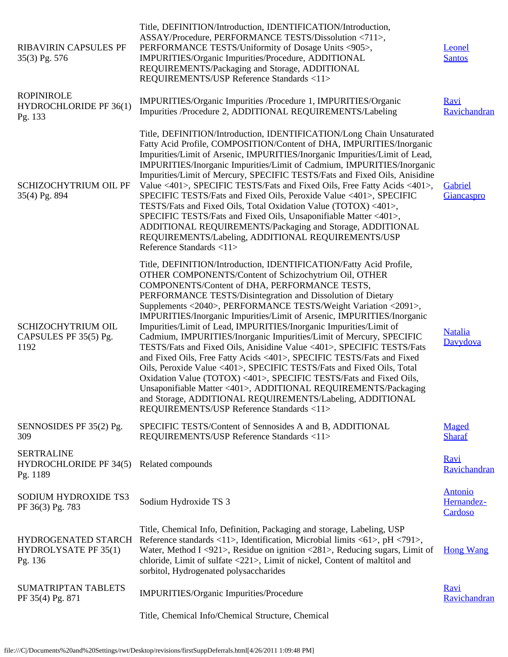| <b>RIBAVIRIN CAPSULES PF</b><br>35(3) Pg. 576                  | Title, DEFINITION/Introduction, IDENTIFICATION/Introduction,<br>ASSAY/Procedure, PERFORMANCE TESTS/Dissolution <711>,<br>PERFORMANCE TESTS/Uniformity of Dosage Units <905>,<br>IMPURITIES/Organic Impurities/Procedure, ADDITIONAL<br>REQUIREMENTS/Packaging and Storage, ADDITIONAL<br>REQUIREMENTS/USP Reference Standards <11>                                                                                                                                                                                                                                                                                                                                                                                                                                                                                                                                                                                                                                                                                | Leonel<br><b>Santos</b>                 |
|----------------------------------------------------------------|-------------------------------------------------------------------------------------------------------------------------------------------------------------------------------------------------------------------------------------------------------------------------------------------------------------------------------------------------------------------------------------------------------------------------------------------------------------------------------------------------------------------------------------------------------------------------------------------------------------------------------------------------------------------------------------------------------------------------------------------------------------------------------------------------------------------------------------------------------------------------------------------------------------------------------------------------------------------------------------------------------------------|-----------------------------------------|
| <b>ROPINIROLE</b><br>HYDROCHLORIDE PF 36(1)<br>Pg. 133         | IMPURITIES/Organic Impurities /Procedure 1, IMPURITIES/Organic<br>Impurities /Procedure 2, ADDITIONAL REQUIREMENTS/Labeling                                                                                                                                                                                                                                                                                                                                                                                                                                                                                                                                                                                                                                                                                                                                                                                                                                                                                       | Ravi<br>Ravichandran                    |
| SCHIZOCHYTRIUM OIL PF<br>35(4) Pg. 894                         | Title, DEFINITION/Introduction, IDENTIFICATION/Long Chain Unsaturated<br>Fatty Acid Profile, COMPOSITION/Content of DHA, IMPURITIES/Inorganic<br>Impurities/Limit of Arsenic, IMPURITIES/Inorganic Impurities/Limit of Lead,<br>IMPURITIES/Inorganic Impurities/Limit of Cadmium, IMPURITIES/Inorganic<br>Impurities/Limit of Mercury, SPECIFIC TESTS/Fats and Fixed Oils, Anisidine<br>Value <401>, SPECIFIC TESTS/Fats and Fixed Oils, Free Fatty Acids <401>,<br>SPECIFIC TESTS/Fats and Fixed Oils, Peroxide Value <401>, SPECIFIC<br>TESTS/Fats and Fixed Oils, Total Oxidation Value (TOTOX) <401>,<br>SPECIFIC TESTS/Fats and Fixed Oils, Unsaponifiable Matter <401>,<br>ADDITIONAL REQUIREMENTS/Packaging and Storage, ADDITIONAL<br>REQUIREMENTS/Labeling, ADDITIONAL REQUIREMENTS/USP<br>Reference Standards <11>                                                                                                                                                                                      | Gabriel<br>Giancaspro                   |
| SCHIZOCHYTRIUM OIL<br>CAPSULES PF 35(5) Pg.<br>1192            | Title, DEFINITION/Introduction, IDENTIFICATION/Fatty Acid Profile,<br>OTHER COMPONENTS/Content of Schizochytrium Oil, OTHER<br>COMPONENTS/Content of DHA, PERFORMANCE TESTS,<br>PERFORMANCE TESTS/Disintegration and Dissolution of Dietary<br>Supplements <2040>, PERFORMANCE TESTS/Weight Variation <2091>,<br>IMPURITIES/Inorganic Impurities/Limit of Arsenic, IMPURITIES/Inorganic<br>Impurities/Limit of Lead, IMPURITIES/Inorganic Impurities/Limit of<br>Cadmium, IMPURITIES/Inorganic Impurities/Limit of Mercury, SPECIFIC<br>TESTS/Fats and Fixed Oils, Anisidine Value <401>, SPECIFIC TESTS/Fats<br>and Fixed Oils, Free Fatty Acids <401>, SPECIFIC TESTS/Fats and Fixed<br>Oils, Peroxide Value <401>, SPECIFIC TESTS/Fats and Fixed Oils, Total<br>Oxidation Value (TOTOX) <401>, SPECIFIC TESTS/Fats and Fixed Oils,<br>Unsaponifiable Matter <401>, ADDITIONAL REQUIREMENTS/Packaging<br>and Storage, ADDITIONAL REQUIREMENTS/Labeling, ADDITIONAL<br>REQUIREMENTS/USP Reference Standards <11> | <b>Natalia</b><br>Davydova              |
| SENNOSIDES PF 35(2) Pg.<br>309                                 | SPECIFIC TESTS/Content of Sennosides A and B, ADDITIONAL<br>REQUIREMENTS/USP Reference Standards <11>                                                                                                                                                                                                                                                                                                                                                                                                                                                                                                                                                                                                                                                                                                                                                                                                                                                                                                             | Maged<br><b>Sharaf</b>                  |
| <b>SERTRALINE</b><br><b>HYDROCHLORIDE PF 34(5)</b><br>Pg. 1189 | Related compounds                                                                                                                                                                                                                                                                                                                                                                                                                                                                                                                                                                                                                                                                                                                                                                                                                                                                                                                                                                                                 | Ravi<br>Ravichandran                    |
| SODIUM HYDROXIDE TS3<br>PF 36(3) Pg. 783                       | Sodium Hydroxide TS 3                                                                                                                                                                                                                                                                                                                                                                                                                                                                                                                                                                                                                                                                                                                                                                                                                                                                                                                                                                                             | <b>Antonio</b><br>Hernandez-<br>Cardoso |
| HYDROGENATED STARCH<br><b>HYDROLYSATE PF 35(1)</b><br>Pg. 136  | Title, Chemical Info, Definition, Packaging and storage, Labeling, USP<br>Reference standards <11>, Identification, Microbial limits <61>, pH <791>,<br>Water, Method I <921>, Residue on ignition <281>, Reducing sugars, Limit of<br>chloride, Limit of sulfate <221>, Limit of nickel, Content of maltitol and<br>sorbitol, Hydrogenated polysaccharides                                                                                                                                                                                                                                                                                                                                                                                                                                                                                                                                                                                                                                                       | <b>Hong Wang</b>                        |
| SUMATRIPTAN TABLETS<br>PF 35(4) Pg. 871                        | IMPURITIES/Organic Impurities/Procedure                                                                                                                                                                                                                                                                                                                                                                                                                                                                                                                                                                                                                                                                                                                                                                                                                                                                                                                                                                           | Ravi<br>Ravichandran                    |
|                                                                | Title, Chemical Info/Chemical Structure, Chemical                                                                                                                                                                                                                                                                                                                                                                                                                                                                                                                                                                                                                                                                                                                                                                                                                                                                                                                                                                 |                                         |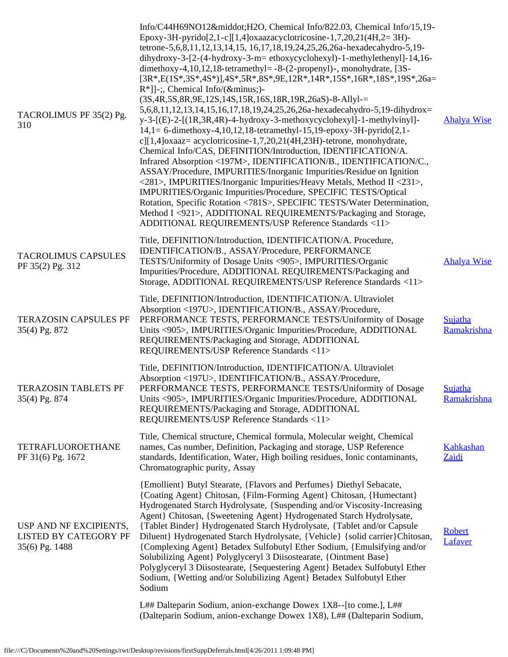| TACROLIMUS PF 35(2) Pg.<br>310                                    | Info/C44H69NO12·H2O, Chemical Info/822.03, Chemical Info/15,19-<br>Epoxy-3H-pyrido[2,1-c][1,4]oxaazacyclotricosine-1,7,20,21(4H,2=3H)-<br>tetrone-5,6,8,11,12,13,14,15, 16,17,18,19,24,25,26,26a-hexadecahydro-5,19-<br>dihydroxy-3-[2-(4-hydroxy-3-m= ethoxycyclohexyl)-1-methylethenyl]-14,16-<br>dimethoxy-4,10,12,18-tetramethyl= $-8-(2$ -propenyl)-, monohydrate, [3S-<br>$[3R*,E(1S*,3S*,4S*)]$ ,4S*,5R*,8S*,9E,12R*,14R*,15S*,16R*,18S*,19S*,26a=<br>$R^*$ ]]-;, Chemical Info/(−)-<br>(3S, 4R, 5S, 8R, 9E, 12S, 14S, 15R, 16S, 18R, 19R, 26aS) - 8-Allyl-=<br>5,6,8,11,12,13,14,15,16,17,18,19,24,25,26,26a-hexadecahydro-5,19-dihydrox=<br>y-3-[(E)-2-[(1R,3R,4R)-4-hydroxy-3-methoxycyclohexyl]-1-methylvinyl]-<br>14,1= 6-dimethoxy-4,10,12,18-tetramethyl-15,19-epoxy-3H-pyrido[2,1-<br>c][1,4]oxaaz= acyclotricosine-1,7,20,21(4H,23H)-tetrone, monohydrate,<br>Chemical Info/CAS, DEFINITION/Introduction, IDENTIFICATION/A.<br>Infrared Absorption <197M>, IDENTIFICATION/B., IDENTIFICATION/C.,<br>ASSAY/Procedure, IMPURITIES/Inorganic Impurities/Residue on Ignition<br><281>, IMPURITIES/Inorganic Impurities/Heavy Metals, Method II <231>,<br>IMPURITIES/Organic Impurities/Procedure, SPECIFIC TESTS/Optical<br>Rotation, Specific Rotation <781S>, SPECIFIC TESTS/Water Determination,<br>Method I <921>, ADDITIONAL REQUIREMENTS/Packaging and Storage,<br>ADDITIONAL REQUIREMENTS/USP Reference Standards <11> | <b>Ahalya Wise</b>        |
|-------------------------------------------------------------------|-------------------------------------------------------------------------------------------------------------------------------------------------------------------------------------------------------------------------------------------------------------------------------------------------------------------------------------------------------------------------------------------------------------------------------------------------------------------------------------------------------------------------------------------------------------------------------------------------------------------------------------------------------------------------------------------------------------------------------------------------------------------------------------------------------------------------------------------------------------------------------------------------------------------------------------------------------------------------------------------------------------------------------------------------------------------------------------------------------------------------------------------------------------------------------------------------------------------------------------------------------------------------------------------------------------------------------------------------------------------------------------------------------------------------------------------|---------------------------|
| <b>TACROLIMUS CAPSULES</b><br>PF 35(2) Pg. 312                    | Title, DEFINITION/Introduction, IDENTIFICATION/A. Procedure,<br>IDENTIFICATION/B., ASSAY/Procedure, PERFORMANCE<br>TESTS/Uniformity of Dosage Units <905>, IMPURITIES/Organic<br>Impurities/Procedure, ADDITIONAL REQUIREMENTS/Packaging and<br>Storage, ADDITIONAL REQUIREMENTS/USP Reference Standards <11>                                                                                                                                                                                                                                                                                                                                                                                                                                                                                                                                                                                                                                                                                                                                                                                                                                                                                                                                                                                                                                                                                                                             | <b>Ahalya Wise</b>        |
| <b>TERAZOSIN CAPSULES PF</b><br>35(4) Pg. 872                     | Title, DEFINITION/Introduction, IDENTIFICATION/A. Ultraviolet<br>Absorption <197U>, IDENTIFICATION/B., ASSAY/Procedure,<br>PERFORMANCE TESTS, PERFORMANCE TESTS/Uniformity of Dosage<br>Units <905>, IMPURITIES/Organic Impurities/Procedure, ADDITIONAL<br>REQUIREMENTS/Packaging and Storage, ADDITIONAL<br>REQUIREMENTS/USP Reference Standards <11>                                                                                                                                                                                                                                                                                                                                                                                                                                                                                                                                                                                                                                                                                                                                                                                                                                                                                                                                                                                                                                                                                   | Sujatha<br>Ramakrishna    |
| <b>TERAZOSIN TABLETS PF</b><br>35(4) Pg. 874                      | Title, DEFINITION/Introduction, IDENTIFICATION/A. Ultraviolet<br>Absorption <197U>, IDENTIFICATION/B., ASSAY/Procedure,<br>PERFORMANCE TESTS, PERFORMANCE TESTS/Uniformity of Dosage<br>Units <905>, IMPURITIES/Organic Impurities/Procedure, ADDITIONAL<br>REQUIREMENTS/Packaging and Storage, ADDITIONAL<br>REQUIREMENTS/USP Reference Standards <11>                                                                                                                                                                                                                                                                                                                                                                                                                                                                                                                                                                                                                                                                                                                                                                                                                                                                                                                                                                                                                                                                                   | Sujatha<br>Ramakrishna    |
| <b>TETRAFLUOROETHANE</b><br>PF 31(6) Pg. 1672                     | Title, Chemical structure, Chemical formula, Molecular weight, Chemical<br>names, Cas number, Definition, Packaging and storage, USP Reference<br>standards, Identification, Water, High boiling residues, Ionic contaminants,<br>Chromatographic purity, Assay                                                                                                                                                                                                                                                                                                                                                                                                                                                                                                                                                                                                                                                                                                                                                                                                                                                                                                                                                                                                                                                                                                                                                                           | <b>Kahkashan</b><br>Zaidi |
| USP AND NF EXCIPIENTS,<br>LISTED BY CATEGORY PF<br>35(6) Pg. 1488 | {Emollient} Butyl Stearate, {Flavors and Perfumes} Diethyl Sebacate,<br>{Coating Agent} Chitosan, {Film-Forming Agent} Chitosan, {Humectant}<br>Hydrogenated Starch Hydrolysate, {Suspending and/or Viscosity-Increasing<br>Agent} Chitosan, {Sweetening Agent} Hydrogenated Starch Hydrolysate,<br>{Tablet Binder} Hydrogenated Starch Hydrolysate, {Tablet and/or Capsule<br>Diluent} Hydrogenated Starch Hydrolysate, {Vehicle} {solid carrier} Chitosan,<br>{Complexing Agent} Betadex Sulfobutyl Ether Sodium, {Emulsifying and/or<br>Solubilizing Agent} Polyglyceryl 3 Diisostearate, {Ointment Base}<br>Polyglyceryl 3 Diisostearate, {Sequestering Agent} Betadex Sulfobutyl Ether<br>Sodium, {Wetting and/or Solubilizing Agent} Betadex Sulfobutyl Ether<br>Sodium<br>L## Dalteparin Sodium, anion-exchange Dowex 1X8--[to come.], L##                                                                                                                                                                                                                                                                                                                                                                                                                                                                                                                                                                                         | <b>Robert</b><br>Lafaver  |
|                                                                   | (Dalteparin Sodium, anion-exchange Dowex 1X8), L## (Dalteparin Sodium,                                                                                                                                                                                                                                                                                                                                                                                                                                                                                                                                                                                                                                                                                                                                                                                                                                                                                                                                                                                                                                                                                                                                                                                                                                                                                                                                                                    |                           |